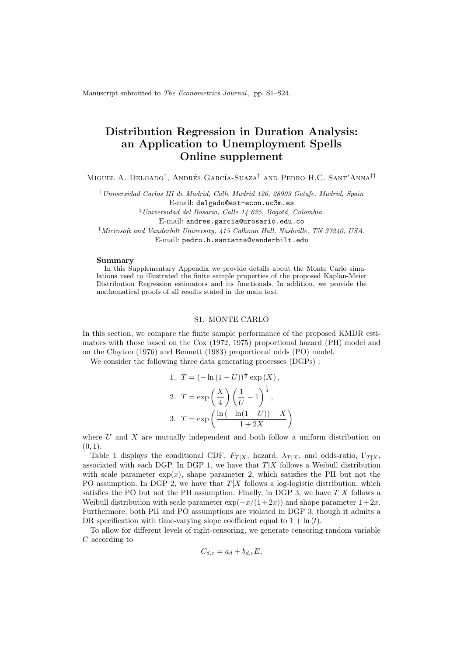Manuscript submitted to The Econometrics Journal, pp. S1–S24.

# Distribution Regression in Duration Analysis: an Application to Unemployment Spells Online supplement

Miguel A. Delgado<sup>†</sup>, Andrés García-Suaza<sup>‡</sup> and Pedro H.C. Sant'Anna<sup>††</sup>

†Universidad Carlos III de Madrid, Calle Madrid 126, 28903 Getafe, Madrid, Spain

E-mail: delgado@est-econ.uc3m.es

 $\frac{1}{2}$ Universidad del Rosario, Calle 14 625, Bogotá, Colombia.

E-mail: andres.garcia@urosario.edu.co

‡Microsoft and Vanderbilt University, 415 Calhoun Hall, Nashville, TN 37240, USA.

E-mail: pedro.h.santanna@vanderbilt.edu

# Summary

In this Supplementary Appendix we provide details about the Monte Carlo simulations used to illustrated the finite sample properties of the proposed Kaplan-Meier Distribution Regression estimators and its functionals. In addition, we provide the mathematical proofs of all results stated in the main text.

## S1. MONTE CARLO

In this section, we compare the finite sample performance of the proposed KMDR estimators with those based on the Cox (1972, 1975) proportional hazard (PH) model and on the Clayton (1976) and Bennett (1983) proportional odds (PO) model.

 $\sim$  1.1

We consider the following three data generating processes (DGPs) :

1. 
$$
T = \left(-\ln\left(1-U\right)\right)^{\frac{1}{2}} \exp\left(X\right),
$$
  
\n2. 
$$
T = \exp\left(\frac{X}{4}\right) \left(\frac{1}{U} - 1\right)^{\frac{1}{4}},
$$
  
\n3. 
$$
T = \exp\left(\frac{\ln\left(-\ln(1-U)\right) - X}{1 + 2X}\right)
$$

where  $U$  and  $X$  are mutually independent and both follow a uniform distribution on  $(0, 1)$ .

Table 1 displays the conditional CDF,  $F_{T|X}$ , hazard,  $\lambda_{T|X}$ , and odds-ratio,  $\Gamma_{T|X}$ , associated with each DGP. In DGP 1, we have that  $T|X$  follows a Weibull distribution with scale parameter  $\exp(x)$ , shape parameter 2, which satisfies the PH but not the PO assumption. In DGP 2, we have that  $T|X$  follows a log-logistic distribution, which satisfies the PO but not the PH assumption. Finally, in DGP 3, we have  $T|X$  follows a Weibull distribution with scale parameter  $\exp(-x/(1+2x))$  and shape parameter  $1+2x$ . Furthermore, both PH and PO assumptions are violated in DGP 3, though it admits a DR specification with time-varying slope coefficient equal to  $1 + \ln(t)$ .

To allow for different levels of right-censoring, we generate censoring random variable C according to

$$
C_{d,c} = a_d + b_{d,c} E,
$$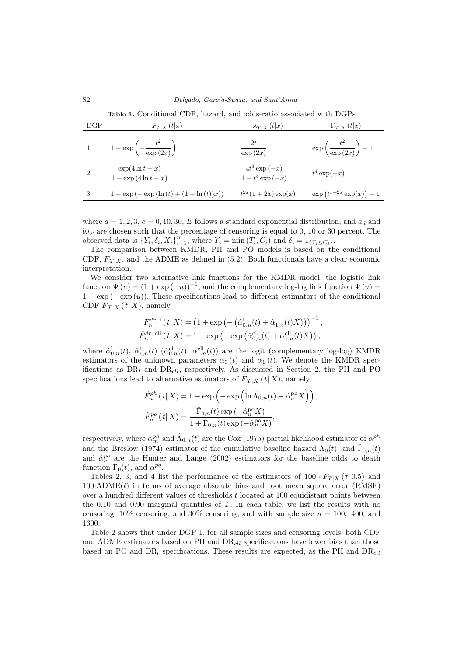|                             | <b>Table 1.</b> Conditional CDF, hazard, and odds-ratio associated with DGPs |                                                            |                                           |
|-----------------------------|------------------------------------------------------------------------------|------------------------------------------------------------|-------------------------------------------|
| DGP                         | $F_{T X}(t x)$                                                               | $\lambda_{T X}(t x)$                                       | $\Gamma_{T X}(t x)$                       |
|                             | 1 $1 - \exp\left(-\frac{t^2}{\exp(2x)}\right)$                               | 2t<br>$\overline{\exp\left( 2x\right) }$                   | $\exp\left(\frac{t^2}{\exp(2x)}\right)-1$ |
| $\mathcal{D}_{\mathcal{L}}$ | $\exp(4\ln t - x)$<br>$\overline{1 + \exp(4 \ln t - x)}$                     | $\frac{4t^3\exp\left(-x\right)}{1+t^4\exp\left(-x\right)}$ | $t^4\exp(-x)$                             |
| -3                          | $1 - \exp(-\exp(\ln(t) + (1 + \ln(t))x))$                                    | $t^{2x}(1+2x)\exp(x)$                                      | $\exp(t^{1+2x}\exp(x))-1$                 |

where  $d = 1, 2, 3, c = 0, 10, 30, E$  follows a standard exponential distribution, and  $a_d$  and  $b_{d,c}$  are chosen such that the percentage of censoring is equal to 0, 10 or 30 percent. The observed data is  ${Y_i, \delta_i, X_i}_{i=1}^n$ , where  $Y_i = \min(T_i, C_i)$  and  $\delta_i = 1_{T_i \leq C_i}$ .

The comparison between KMDR, PH and PO models is based on the conditional CDF,  $F_{T|X}$ , and the ADME as defined in (5.2). Both functionals have a clear economic interpretation.

We consider two alternative link functions for the KMDR model: the logistic link function  $\Psi(u) = (1 + \exp(-u))^{-1}$ , and the complementary log-log link function  $\Psi(u) =$  $1 - \exp(-\exp(u))$ . These specifications lead to different estimators of the conditional CDF  $F_{T|X}(t|X)$ , namely

$$
\hat{F}_n^{dr, 1}(t|X) = (1 + \exp(-(\hat{\alpha}_{0,n}^1(t) + \hat{\alpha}_{1,n}^1(t)X)))^{-1},
$$
  

$$
\hat{F}_n^{dr, \text{ ell}}(t|X) = 1 - \exp(-\exp(\hat{\alpha}_{0,n}^{\text{ell}}(t) + \hat{\alpha}_{1,n}^{\text{ell}}(t)X)),
$$

where  $\hat{\alpha}_{0,n}^{\text{l}}(t)$ ,  $\hat{\alpha}_{1,n}^{\text{cl}}(t)$  ( $\hat{\alpha}_{0,n}^{\text{cll}}(t)$ ,  $\hat{\alpha}_{1,n}^{\text{cll}}(t)$ ) are the logit (complementary log-log) KMDR estimators of the unknown parameters  $\alpha_0(t)$  and  $\alpha_1(t)$ . We denote the KMDR specifications as  $DR_l$  and  $DR_{\text{ell}}$ , respectively. As discussed in Section 2, the PH and PO specifications lead to alternative estimators of  $F_{T|X}$  (t|X), namely,

$$
\hat{F}_n^{ph}(t|X) = 1 - \exp\left(-\exp\left(\ln \hat{\Lambda}_{0,n}(t) + \hat{\alpha}_n^{ph} X\right)\right),
$$

$$
\hat{F}_n^{po}(t|X) = \frac{\hat{\Gamma}_{0,n}(t) \exp\left(-\hat{\alpha}_n^{po} X\right)}{1 + \hat{\Gamma}_{0,n}(t) \exp\left(-\hat{\alpha}_n^{po} X\right)},
$$

respectively, where  $\hat{\alpha}_m^{ph}$  and  $\hat{\Lambda}_{0,n}(t)$  are the Cox (1975) partial likelihood estimator of  $\alpha^{ph}$ and the Breslow (1974) estimator of the cumulative baseline hazard  $\Lambda_0(t)$ , and  $\hat{\Gamma}_{0,n}(t)$ and  $\hat{\alpha}_n^{po}$  are the Hunter and Lange (2002) estimators for the baseline odds to death function  $\Gamma_0(t)$ , and  $\alpha^{po}$ .

Tables 2, 3, and 4 list the performance of the estimators of  $100 \cdot F_{T|X}$  (t| 0.5) and  $100 \text{ }\text{ADME}(t)$  in terms of average absolute bias and root mean square error (RMSE) over a hundred different values of thresholds t located at 100 equidistant points between the 0.10 and 0.90 marginal quantiles of  $T$ . In each table, we list the results with no censoring,  $10\%$  censoring, and  $30\%$  censoring, and with sample size  $n = 100$ , 400, and 1600.

Table 2 shows that under DGP 1, for all sample sizes and censoring levels, both CDF and ADME estimators based on PH and  $DR<sub>cll</sub>$  specifications have lower bias than those based on PO and  $DR_l$  specifications. These results are expected, as the PH and  $DR_{\text{cl}}$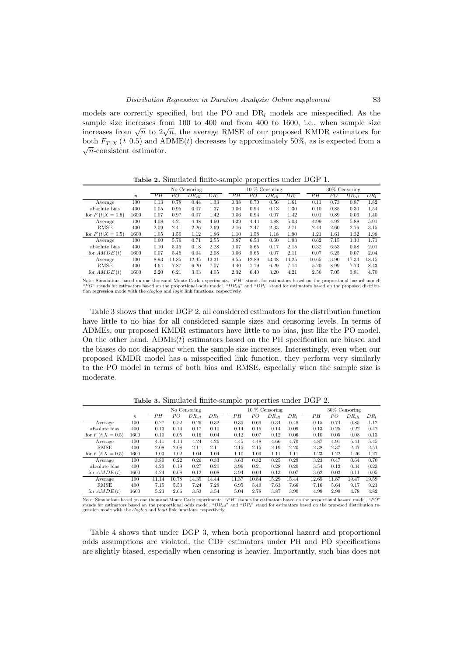models are correctly specified, but the PO and  $DR_l$  models are misspecified. As the sample size increases from 100 to 400 and from 400 to 1600, i.e., when sample size sample size increases from 100 to 400 and from 400 to 1000, i.e., when sample size<br>increases from  $\sqrt{n}$  to  $2\sqrt{n}$ , the average RMSE of our proposed KMDR estimators for both  $F_{T|X}$  (t|0.5) and ADME(t) decreases by approximately 50%, as is expected from a  $\sqrt{n}$ -consistent estimator.

Table 2. Simulated finite-sample properties under DGP 1.

|                    |                  |      |       | No Censoring |        |      |       | $10\%$ Censoring  |        |       | 30% Censoring |            |                 |  |  |
|--------------------|------------------|------|-------|--------------|--------|------|-------|-------------------|--------|-------|---------------|------------|-----------------|--|--|
|                    | $\boldsymbol{n}$ | PН   | PО    | $DR_{cll}$   | $DR_I$ | PН   | PО    | $DR_{\text{cll}}$ | $DR_I$ | PН    | PО            | $DR_{cll}$ | DR <sub>I</sub> |  |  |
| Average            | 100              | 0.13 | 0.78  | 0.44         | 1.33   | 0.38 | 0.70  | 0.56              | 1.61   | 0.11  | 0.73          | 0.87       | 1.82            |  |  |
| absolute bias      | 400              | 0.05 | 0.95  | 0.07         | 1.37   | 0.06 | 0.94  | 0.13              | 1.30   | 0.10  | 0.85          | 0.30       | 1.54            |  |  |
| for $F(t X = 0.5)$ | 1600             | 0.07 | 0.97  | 0.07         | 1.42   | 0.06 | 0.94  | 0.07              | 1.42   | 0.01  | 0.89          | 0.06       | 1.40            |  |  |
| Average            | 100              | 4.08 | 4.21  | 4.48         | 4.60   | 4.39 | 4.44  | 4.88              | 5.03   | 4.99  | 4.92          | 5.88       | 5.91            |  |  |
| <b>RMSE</b>        | 400              | 2.09 | 2.41  | 2.26         | 2.69   | 2.16 | 2.47  | 2.33              | 2.71   | 2.44  | 2.60          | 2.76       | 3.15            |  |  |
| for $F(t X = 0.5)$ | 1600             | 1.05 | 1.56  | 1.12         | 1.86   | 1.10 | 1.58  | 1.18              | 1.90   | 1.21  | 1.61          | 1.32       | 1.98            |  |  |
| Average            | 100              | 0.60 | 5.76  | 0.71         | 2.55   | 0.87 | 6.53  | 0.60              | 1.93   | 0.62  | 7.15          | 1.10       | 1.71            |  |  |
| absolute bias      | 400              | 0.10 | 5.45  | 0.18         | 2.28   | 0.07 | 5.65  | 0.17              | 2.15   | 0.32  | 6.53          | 0.58       | 2.01            |  |  |
| for $AMDE(t)$      | 1600             | 0.07 | 5.46  | 0.04         | 2.08   | 0.06 | 5.65  | 0.07              | 2.11   | 0.07  | 6.25          | 0.07       | 2.04            |  |  |
| Average            | 100              | 8.93 | 11.85 | 12.45        | 13.31  | 9.55 | 12.89 | 13.48             | 14.25  | 10.65 | 13.90         | 17.34      | 18.15           |  |  |
| <b>RMSE</b>        | 400              | 4.64 | 7.87  | 6.20         | 7.07   | 4.40 | 7.79  | 6.29              | 7.14   | 5.20  | 8.99          | 7.73       | 8.43            |  |  |
| for $AMDE(t)$      | 1600             | 2.20 | 6.21  | 3.03         | 4.05   | 2.32 | 6.40  | 3.20              | 4.21   | 2.56  | 7.05          | 3.81       | 4.70            |  |  |

Note: Simulations based on one thousand Monte Carlo experiments. " $PH$ " stands for estimators based on the proportional hazard model.<br>" $PO$ " stands for estimators based on the proportional odds model. " $DR<sub>d</sub>$ " and " $DR<sub>d</sub>$ 

Table 3 shows that under DGP 2, all considered estimators for the distribution function have little to no bias for all considered sample sizes and censoring levels. In terms of ADMEs, our proposed KMDR estimators have little to no bias, just like the PO model. On the other hand,  $ADME(t)$  estimators based on the PH specification are biased and the biases do not disappear when the sample size increases. Interestingly, even when our proposed KMDR model has a misspecified link function, they perform very similarly to the PO model in terms of both bias and RMSE, especially when the sample size is moderate.

|                    |                  |                 |       | No Censoring |                 |                 |       | $10\%$ Censoring |                 | $30\%$ Censoring |       |            |                 |  |
|--------------------|------------------|-----------------|-------|--------------|-----------------|-----------------|-------|------------------|-----------------|------------------|-------|------------|-----------------|--|
|                    | $\boldsymbol{n}$ | $\overline{PH}$ | РO    | $DR_{cll}$   | DR <sub>I</sub> | $\overline{PH}$ | РO    | $DR_{cll}$       | DR <sub>I</sub> | $\overline{PH}$  | РO    | $DR_{cll}$ | DR <sub>I</sub> |  |
| Average            | 100              | 0.27            | 0.52  | 0.26         | 0.32            | 0.35            | 0.69  | 0.34             | 0.48            | 0.15             | 0.74  | 0.85       | 1.12            |  |
| absolute bias      | 400              | 0.13            | 0.14  | 0.17         | 0.10            | 0.14            | 0.15  | 0.14             | 0.09            | 0.13             | 0.25  | 0.22       | 0.42            |  |
| for $F(t X = 0.5)$ | 1600             | 0.10            | 0.05  | 0.16         | 0.04            | 0.12            | 0.07  | 0.12             | 0.06            | 0.10             | 0.05  | 0.08       | 0.13            |  |
| Average            | 100              | 4.11            | 4.14  | 4.24         | 4.26            | 4.45            | 4.48  | 4.66             | 4.70            | 4.87             | 4.91  | 5.41       | 5.45            |  |
| <b>RMSE</b>        | 400              | 2.08            | 2.08  | 2.11         | 2.11            | 2.15            | 2.15  | 2.19             | 2.20            | 2.38             | 2.37  | 2.47       | 2.51            |  |
| for $F(t X = 0.5)$ | 1600             | 1.03            | 1.02  | 1.04         | 1.04            | 1.10            | 1.09  | 1.11             | 1.11            | 1.23             | 1.22  | 1.26       | 1.27            |  |
| Average            | 100              | 3.80            | 0.22  | 0.26         | 0.33            | 3.63            | 0.32  | 0.25             | 0.29            | 3.23             | 0.47  | 0.64       | 0.70            |  |
| absolute bias      | 400              | 4.20            | 0.19  | 0.27         | 0.20            | 3.96            | 0.21  | 0.28             | 0.20            | 3.54             | 0.12  | 0.34       | 0.23            |  |
| for $AMDE(t)$      | 1600             | 4.24            | 0.08  | 0.12         | 0.08            | 3.94            | 0.04  | 0.13             | 0.07            | 3.62             | 0.02  | 0.11       | 0.05            |  |
| Average            | 100              | 11.14           | 10.78 | 14.35        | 14.44           | 11.37           | 10.84 | 15.29            | 15.44           | 12.65            | 11.87 | 19.47      | 19.59           |  |
| <b>RMSE</b>        | 400              | 7.15            | 5.53  | 7.24         | 7.28            | 6.95            | 5.49  | 7.63             | 7.66            | 7.16             | 5.64  | 9.17       | 9.21            |  |
| for $AMDE(t)$      | 1600             | 5.23            | 2.66  | 3.53         | 3.54            | 5.04            | 2.78  | 3.87             | 3.90            | 4.99             | 2.99  | 4.78       | 4.82            |  |

Table 3. Simulated finite-sample properties under DGP 2.

Note: Simulations based on one thousand Monte Carlo experiments. " $PH$ " stands for estimators based on the proportional hazard model. " $PO$ "<br>stands for estimators based on the proportional odds model. " $DR_{cl}$ " and " $DR_l$ " st

Table 4 shows that under DGP 3, when both proportional hazard and proportional odds assumptions are violated, the CDF estimators under PH and PO specifications are slightly biased, especially when censoring is heavier. Importantly, such bias does not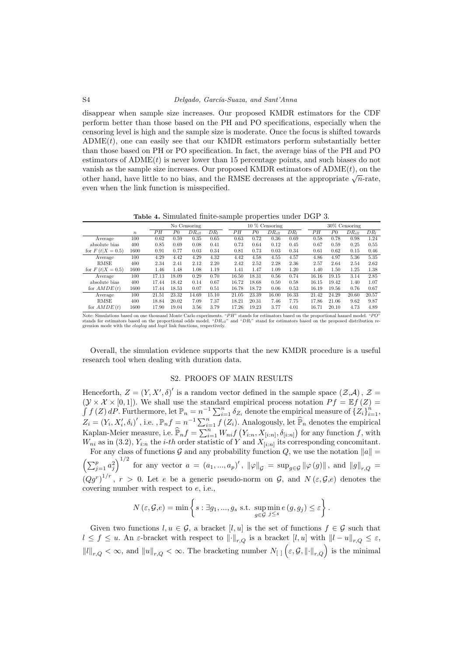#### S4 Delgado, García-Suaza, and Sant'Anna

disappear when sample size increases. Our proposed KMDR estimators for the CDF perform better than those based on the PH and PO specifications, especially when the censoring level is high and the sample size is moderate. Once the focus is shifted towards  $ADME(t)$ , one can easily see that our KMDR estimators perform substantially better than those based on PH or PO specification. In fact, the average bias of the PH and PO estimators of  $ADME(t)$  is never lower than 15 percentage points, and such biases do not vanish as the sample size increases. Our proposed KMDR estimators of  $ADME(t)$ , on the valush as the sample size increases. Our proposed KMDK estimators of  $ADME(t)$ , on the other hand, have little to no bias, and the RMSE decreases at the appropriate  $\sqrt{n}$ -rate, even when the link function is misspecified.

Table 4. Simulated finite-sample properties under DGP 3.

|                    |                  |       |                | No Censoring |                 |                 |         | 10 % Censoring |                 | 30% Censoring |                 |                |            |                 |
|--------------------|------------------|-------|----------------|--------------|-----------------|-----------------|---------|----------------|-----------------|---------------|-----------------|----------------|------------|-----------------|
|                    | $\boldsymbol{n}$ | PH    | P <sub>0</sub> | $DR_{cll}$   | DR <sub>l</sub> | $\overline{PH}$ | $_{P0}$ | $DR_{cll}$     | DR <sub>l</sub> |               | $\overline{PH}$ | P <sub>0</sub> | $DR_{cll}$ | DR <sub>l</sub> |
| Average            | 100              | 0.62  | 0.59           | 0.35         | 0.65            | 0.63            | 0.72    | 0.36           | 0.69            |               | 0.58            | 0.78           | 0.98       | 1.24            |
| absolute bias      | 400              | 0.85  | 0.69           | 0.08         | 0.41            | 0.73            | 0.64    | 0.12           | 0.45            |               | 0.67            | 0.59           | 0.25       | 0.55            |
| for $F(t X = 0.5)$ | 1600             | 0.91  | 0.77           | 0.03         | 0.34            | 0.81            | 0.73    | 0.03           | 0.34            |               | 0.61            | 0.62           | 0.15       | 0.46            |
| Average            | 100              | 4.29  | 4.42           | 4.29         | 4.32            | 4.42            | 4.58    | 4.55           | 4.57            |               | 4.86            | 4.97           | 5.36       | 5.35            |
| RMSE               | 400              | 2.34  | 2.41           | 2.12         | 2.20            | 2.42            | 2.52    | 2.28           | 2.36            |               | 2.57            | 2.64           | 2.54       | 2.62            |
| for $F(t X = 0.5)$ | 1600             | 1.46  | 1.48           | 1.08         | 1.19            | 1.41            | 1.47    | 1.09           | 1.20            |               | 1.40            | 1.50           | 1.25       | 1.38            |
| Average            | 100              | 17.13 | 18.09          | 0.29         | 0.70            | 16.50           | 18.31   | 0.56           | 0.74            |               | 16.16           | 19.15          | 3.14       | 2.85            |
| absolute bias      | 400              | 17.44 | 18.42          | 0.14         | 0.67            | 16.72           | 18.68   | 0.50           | 0.58            |               | 16.15           | 19.42          | 1.40       | 1.07            |
| for $AMDE(t)$      | 1600             | 17.44 | 18.53          | 0.07         | 0.51            | 16.78           | 18.72   | 0.06           | 0.53            |               | 16.19           | 19.56          | 0.76       | 0.67            |
| Average            | 100              | 21.51 | 23.32          | 14.69        | 15.10           | 21.05           | 23.39   | 16.00          | 16.33           |               | 21.42           | 24.29          | 20.60      | 20.57           |
| <b>RMSE</b>        | 400              | 18.84 | 20.02          | 7.09         | 7.37            | 18.21           | 20.31   | 7.46           | 7.75            |               | 17.86           | 21.06          | 9.62       | 9.87            |
| for $AMDE(t)$      | 1600             | 17.90 | 19.04          | 3.56         | 3.79            | 17.26           | 19.23   | 3.77           | 4.01            |               | 16.71           | 20.10          | 4.73       | 4.89            |

Note: Simulations based on one thousand Monte Carlo experiments. " $PH$ " stands for estimators based on the proportional hazard model. " $PO$ "<br>stands for estimators based on the proportional odds model. " $DR_{cl}$ " and " $DR_l$ " st

Overall, the simulation evidence supports that the new KMDR procedure is a useful research tool when dealing with duration data.

# S2. PROOFS OF MAIN RESULTS

Henceforth,  $Z = (Y, X', \delta)'$  is a random vector defined in the sample space  $(\mathcal{Z}, \mathcal{A}), \mathcal{Z} =$  $(\mathcal{Y} \times \mathcal{X} \times [0,1])$ . We shall use the standard empirical process notation  $Pf = \mathbb{E} f(Z)$  $\int f(Z) dP$ . Furthermore, let  $\mathbb{P}_n = n^{-1} \sum_{i=1}^n \delta_{Z_i}$  denote the empirical measure of  $\{Z_i\}_{i=1}^n$ ,  $Z_i = (Y_i, X'_i, \delta_i)'$ , i.e.,  $\mathbb{P}_n f = n^{-1} \sum_{i=1}^n f(Z_i)$ . Analogously, let  $\widehat{\mathbb{P}}_n$  denotes the empirical Kaplan-Meier measure, i.e.  $\widehat{\mathbb{P}}_n f = \sum_{i=1}^n W_{ni} f(Y_{i:n}, X_{[i:n]}, \delta_{[i:n]})$  for any function f, with  $W_{ni}$  as in (3.2),  $Y_{i:n}$  the *i-th* order statistic of Y and  $X_{[i:n]}$  its corresponding concomitant.

For any class of functions G and any probability function  $Q$ , we use the notation  $||a|| =$  $\left(\sum_{j=1}^p a_j^2\right)^{1/2}$  for any vector  $a = (a_1, ..., a_p)'$ ,  $\|\varphi\|_{\mathcal{G}} = \sup_{g \in \mathcal{G}} \|\varphi(g)\|$ , and  $\|g\|_{r,Q} =$  $(Qg^r)^{1/r}$ ,  $r > 0$ . Let e be a generic pseudo-norm on G, and  $N(\varepsilon, \mathcal{G}, e)$  denotes the covering number with respect to e, i.e.,

$$
N(\varepsilon, \mathcal{G}, e) = \min \left\{ s : \exists g_1, ..., g_s \text{ s.t. } \sup_{g \in \mathcal{G}} \min_{j \leq s} e(g, g_j) \leq \varepsilon \right\}.
$$

Given two functions  $l, u \in \mathcal{G}$ , a bracket  $[l, u]$  is the set of functions  $f \in \mathcal{G}$  such that  $l \le f \le u$ . An  $\varepsilon$ -bracket with respect to  $\lVert \cdot \rVert_{r,Q}$  is a bracket  $[l, u]$  with  $\lVert l - u \rVert_{r,Q} \le \varepsilon$ ,  $||l||_{r,Q} < \infty$ , and  $||u||_{r,Q} < \infty$ . The bracketing number  $N_{[||}(\varepsilon, \mathcal{G}, || \cdot ||_{r,Q})$  is the minimal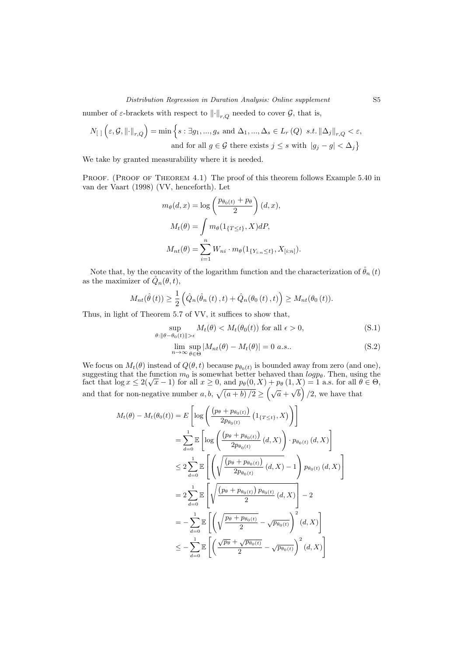# Distribution Regression in Duration Analysis: Online supplement S5

number of  $\varepsilon$ -brackets with respect to  $\lVert \cdot \rVert_{r,Q}$  needed to cover  $\mathcal{G}$ , that is,

$$
N_{\left[\right]}\left(\varepsilon,\mathcal{G},\left\|\cdot\right\|_{r,Q}\right)=\min\left\{s:\exists g_1,...,g_s\text{ and }\Delta_1,...,\Delta_s\in L_r\left(Q\right)\ s.t.\left\|\Delta_j\right\|_{r,Q}<\varepsilon,\right.\\\text{and for all }g\in\mathcal{G}\text{ there exists }j\leq s\text{ with }\left|g_j-g\right|<\Delta_j\right\}
$$

We take by granted measurability where it is needed.

PROOF. (PROOF OF THEOREM 4.1) The proof of this theorem follows Example 5.40 in van der Vaart (1998) (VV, henceforth). Let

$$
m_{\theta}(d, x) = \log \left( \frac{p_{\theta_0(t)} + p_{\theta}}{2} \right) (d, x),
$$

$$
M_t(\theta) = \int m_{\theta}(1_{\{T \le t\}}, X) dP,
$$

$$
M_{nt}(\theta) = \sum_{i=1}^{n} W_{ni} \cdot m_{\theta}(1_{\{Y_{i:n} \le t\}}, X_{[i:n]}).
$$

Note that, by the concavity of the logarithm function and the characterization of  $\hat{\theta}_n(t)$ as the maximizer of  $\hat{Q}_n(\theta, t)$ ,

$$
M_{nt}(\hat{\theta}(t)) \geq \frac{1}{2} \left( \hat{Q}_n(\hat{\theta}_n(t), t) + \hat{Q}_n(\theta_0(t), t) \right) \geq M_{nt}(\theta_0(t)).
$$

Thus, in light of Theorem 5.7 of VV, it suffices to show that,

$$
\sup_{\theta:\|\theta-\theta_0(t)\|>\epsilon} M_t(\theta) < M_t(\theta_0(t)) \text{ for all } \epsilon > 0,\tag{S.1}
$$

$$
\lim_{n \to \infty} \sup_{\theta \in \Theta} |M_{nt}(\theta) - M_t(\theta)| = 0 \text{ a.s.}.
$$
\n(S.2)

We focus on  $M_t(\theta)$  instead of  $Q(\theta, t)$  because  $p_{\theta_0(t)}$  is bounded away from zero (and one), suggesting that the function  $m_0$  is somewhat better behaved than  $log p_\theta$ . Then, using the fact that  $log x \le 2(\sqrt{x} - 1)$  for all  $x \ge 0$ , and  $p_\theta(0, X) + p_\theta(1, X) = 1$  a.s. for all  $\theta \in \Theta$ , and that for non-negative number  $a, b, \sqrt{(a+b)/2} \geq (\sqrt{a} +$ √  $\overline{b}$  /2, we have that

$$
M_t(\theta) - M_t(\theta_0(t)) = E\left[\log\left(\frac{(p_\theta + p_{\theta_0(t)})}{2p_{\theta_0(t)}}\left(1_{\{T \le t\}}, X\right)\right)\right]
$$
  
\n
$$
= \sum_{d=0}^1 \mathbb{E}\left[\log\left(\frac{(p_\theta + p_{\theta_0(t)})}{2p_{\theta_0(t)}}\left(d, X\right)\right) \cdot p_{\theta_0(t)}\left(d, X\right)\right]
$$
  
\n
$$
\le 2 \sum_{d=0}^1 \mathbb{E}\left[\left(\sqrt{\frac{(p_\theta + p_{\theta_0(t)})}{2p_{\theta_0(t)}}}\left(d, X\right) - 1\right)p_{\theta_0(t)}\left(d, X\right)\right]
$$
  
\n
$$
= 2 \sum_{d=0}^1 \mathbb{E}\left[\sqrt{\frac{(p_\theta + p_{\theta_0(t)})p_{\theta_0(t)}}{2}}\left(d, X\right)\right] - 2
$$
  
\n
$$
= -\sum_{d=0}^1 \mathbb{E}\left[\left(\sqrt{\frac{p_\theta + p_{\theta_0(t)}}{2}} - \sqrt{p_{\theta_0(t)}}\right)^2\left(d, X\right)\right]
$$
  
\n
$$
\le -\sum_{d=0}^1 \mathbb{E}\left[\left(\frac{\sqrt{p_\theta + \sqrt{p_{\theta_0(t)}}}}{2} - \sqrt{p_{\theta_0(t)}}\right)^2\left(d, X\right)\right]
$$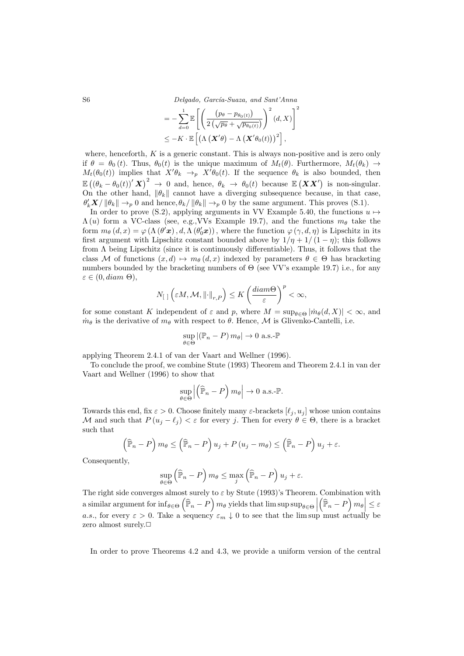S6 Delgado, García-Suaza, and Sant'Anna

$$
= -\sum_{d=0}^{1} \mathbb{E}\left[\left(\frac{\left(p_{\theta} - p_{\theta_{0}(t)}\right)}{2\left(\sqrt{p_{\theta}} + \sqrt{p_{\theta_{0}(t)}}\right)}\right)^{2}(d, X)\right]^{2}
$$

$$
\leq -K \cdot \mathbb{E}\left[\left(\Lambda\left(\boldsymbol{X}^{\prime}\theta\right) - \Lambda\left(\boldsymbol{X}^{\prime}\theta_{0}(t)\right)\right)^{2}\right],
$$

where, henceforth,  $K$  is a generic constant. This is always non-positive and is zero only if  $\theta = \theta_0(t)$ . Thus,  $\theta_0(t)$  is the unique maximum of  $M_t(\theta)$ . Furthermore,  $M_t(\theta_k) \rightarrow$  $M_t(\theta_0(t))$  implies that  $X'\theta_k \to_p X'\theta_0(t)$ . If the sequence  $\theta_k$  is also bounded, then  $\mathbb{E}((\theta_k - \theta_0(t))' \mathbf{X})^2 \to 0$  and, hence,  $\theta_k \to \theta_0(t)$  because  $\mathbb{E}(\mathbf{X} \mathbf{X}')$  is non-singular. On the other hand,  $\|\theta_k\|$  cannot have a diverging subsequence because, in that case,  $\theta'_k \mathbf{X}/\|\theta_k\| \to_p 0$  and hence,  $\theta_k/\|\theta_k\| \to_p 0$  by the same argument. This proves (S.1).

In order to prove (S.2), applying arguments in VV Example 5.40, the functions  $u \mapsto$  $\Lambda(u)$  form a VC-class (see, e.g., VVs Example 19.7), and the functions  $m_{\theta}$  take the form  $m_{\theta}(d,x) = \varphi(\Lambda(\theta' x), d, \Lambda(\theta'_{0} x))$ , where the function  $\varphi(\gamma, d, \eta)$  is Lipschitz in its first argument with Lipschitz constant bounded above by  $1/\eta + 1/(1 - \eta)$ ; this follows from  $\Lambda$  being Lipschitz (since it is continuously differentiable). Thus, it follows that the class M of functions  $(x, d) \mapsto m_{\theta}(d, x)$  indexed by parameters  $\theta \in \Theta$  has bracketing numbers bounded by the bracketing numbers of  $\Theta$  (see VV's example 19.7) i.e., for any  $\varepsilon \in (0, diam \Theta),$ 

$$
N_{\left[\begin{array}{c|c}1\end{array}\right]}\left(\varepsilon M,\mathcal{M},\left\|\cdot\right\|_{r,P}\right)\leq K\left(\frac{diam\Theta}{\varepsilon}\right)^p<\infty,
$$

for some constant K independent of  $\varepsilon$  and p, where  $M = \sup_{\theta \in \Theta} |\dot{m}_{\theta}(d, X)| < \infty$ , and  $m_{\theta}$  is the derivative of  $m_{\theta}$  with respect to  $\theta$ . Hence, M is Glivenko-Cantelli, i.e.

$$
\sup_{\theta \in \Theta} |(\mathbb{P}_n - P) m_{\theta}| \to 0 \text{ a.s.-} \mathbb{P}
$$

applying Theorem 2.4.1 of van der Vaart and Wellner (1996).

To conclude the proof, we combine Stute (1993) Theorem and Theorem 2.4.1 in van der Vaart and Wellner (1996) to show that

$$
\sup_{\theta \in \Theta} \left| \left( \widehat{\mathbb{P}}_n - P \right) m_{\theta} \right| \to 0 \text{ a.s.-} \mathbb{P}.
$$

Towards this end, fix  $\varepsilon > 0$ . Choose finitely many  $\varepsilon$ -brackets  $[\ell_j, u_j]$  whose union contains M and such that  $P(u_i - \ell_i) < \varepsilon$  for every j. Then for every  $\theta \in \Theta$ , there is a bracket such that

$$
\left(\widehat{\mathbb{P}}_n - P\right) m_{\theta} \le \left(\widehat{\mathbb{P}}_n - P\right) u_j + P\left(u_j - m_{\theta}\right) \le \left(\widehat{\mathbb{P}}_n - P\right) u_j + \varepsilon.
$$

Consequently,

$$
\sup_{\theta \in \Theta} \left( \widehat{\mathbb{P}}_n - P \right) m_{\theta} \le \max_j \left( \widehat{\mathbb{P}}_n - P \right) u_j + \varepsilon.
$$

The right side converges almost surely to  $\varepsilon$  by Stute (1993)'s Theorem. Combination with a similar argument for  $\inf_{\theta \in \Theta} (\hat{\mathbb{P}}_n - P)$   $m_\theta$  yields that  $\limsup_{\theta \in \Theta} \text{sup}_{\theta \in \Theta}$ a similar argument for  $\inf_{\theta \in \Theta} (\hat{P}_n - P) m_{\theta}$  yields that  $\limsup_{\theta \in \Theta} |(\hat{P}_n - P) m_{\theta}| \leq \varepsilon$ <br>*a.s.*, for every  $\varepsilon > 0$ . Take a sequency  $\varepsilon_m \downarrow 0$  to see that the lim sup must actually be zero almost surely. $\Box$ 

In order to prove Theorems 4.2 and 4.3, we provide a uniform version of the central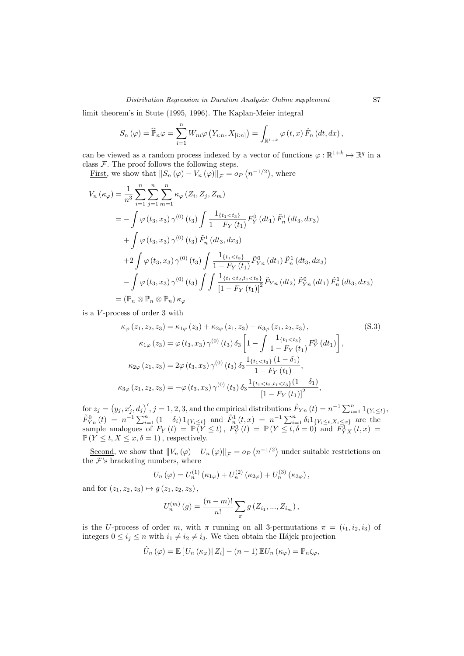### Distribution Regression in Duration Analysis: Online supplement S7

limit theorem's in Stute (1995, 1996). The Kaplan-Meier integral

$$
S_n(\varphi) = \widehat{\mathbb{P}}_n \varphi = \sum_{i=1}^n W_{ni} \varphi \left( Y_{i:n}, X_{[i:n]} \right) = \int_{\mathbb{R}^{1+k}} \varphi \left( t, x \right) \widehat{F}_n \left( dt, dx \right),
$$

can be viewed as a random process indexed by a vector of functions  $\varphi : \mathbb{R}^{1+k} \mapsto \mathbb{R}^q$  in a class  $F$ . The proof follows the following steps.

<u>First</u>, we show that  $||S_n(\varphi) - V_n(\varphi)||_{\mathcal{F}} = o_P(n^{-1/2}),$  where

$$
V_{n}(\kappa_{\varphi}) = \frac{1}{n^{3}} \sum_{i=1}^{n} \sum_{j=1}^{n} \sum_{m=1}^{n} \kappa_{\varphi} (Z_{i}, Z_{j}, Z_{m})
$$
  
\n
$$
= -\int \varphi (t_{3}, x_{3}) \gamma^{(0)} (t_{3}) \int \frac{1_{\{t_{1} < t_{3}\}}}{1 - F_{Y}(t_{1})} F_{Y}^{0} (dt_{1}) \tilde{F}_{n}^{1} (dt_{3}, dx_{3})
$$
  
\n
$$
+ \int \varphi (t_{3}, x_{3}) \gamma^{(0)} (t_{3}) \tilde{F}_{n}^{1} (dt_{3}, dx_{3})
$$
  
\n
$$
+ 2 \int \varphi (t_{3}, x_{3}) \gamma^{(0)} (t_{3}) \int \frac{1_{\{t_{1} < t_{3}\}}}{1 - F_{Y}(t_{1})} \tilde{F}_{Y_{n}}^{0} (dt_{1}) \tilde{F}_{n}^{1} (dt_{3}, dx_{3})
$$
  
\n
$$
- \int \varphi (t_{3}, x_{3}) \gamma^{(0)} (t_{3}) \int \int \frac{1_{\{t_{1} < t_{2}, t_{1} < t_{3}\}}}{\left[1 - F_{Y}(t_{1})\right]^{2}} \tilde{F}_{Y_{n}} (dt_{2}) \tilde{F}_{Y_{n}}^{0} (dt_{1}) \tilde{F}_{n}^{1} (dt_{3}, dx_{3})
$$
  
\n
$$
= (\mathbb{P}_{n} \otimes \mathbb{P}_{n} \otimes \mathbb{P}_{n}) \kappa_{\varphi}
$$

is a V -process of order 3 with

$$
\kappa_{\varphi}\left(z_{1}, z_{2}, z_{3}\right) = \kappa_{1\varphi}\left(z_{3}\right) + \kappa_{2\varphi}\left(z_{1}, z_{3}\right) + \kappa_{3\varphi}\left(z_{1}, z_{2}, z_{3}\right),\tag{S.3}
$$
\n
$$
\kappa_{1\varphi}\left(z_{3}\right) = \varphi\left(t_{3}, x_{3}\right)\gamma^{(0)}\left(t_{3}\right)\delta_{3}\left[1 - \int \frac{1_{\{t_{1} < t_{3}\}}}{1 - F_{Y}\left(t_{1}\right)}F_{Y}^{0}\left(dt_{1}\right)\right],
$$
\n
$$
\kappa_{2\varphi}\left(z_{1}, z_{3}\right) = 2\varphi\left(t_{3}, x_{3}\right)\gamma^{(0)}\left(t_{3}\right)\delta_{3}\frac{1_{\{t_{1} < t_{3}\}}\left(1 - \delta_{1}\right)}{1 - F_{Y}\left(t_{1}\right)},
$$
\n
$$
\kappa_{3\varphi}\left(z_{1}, z_{2}, z_{3}\right) = -\varphi\left(t_{3}, x_{3}\right)\gamma^{(0)}\left(t_{3}\right)\delta_{3}\frac{1_{\{t_{1} < t_{2}, t_{1} < t_{3}\}}\left(1 - \delta_{1}\right)}{\left[1 - F_{Y}\left(t_{1}\right)\right]^{2}},
$$
\n
$$
(S.3)
$$

for  $z_j = (y_j, x'_j, d_j)'$ ,  $j = 1, 2, 3$ , and the empirical distributions  $\tilde{F}_{Yn}(t) = n^{-1} \sum_{i=1}^n 1_{\{Y_i \le t\}},$  $\tilde{F}_{Yn}^{0}(t) = n^{-1} \sum_{i=1}^{n} (1 - \delta_i) 1_{\{Y_i \le t\}}$  and  $\tilde{F}_{n}^{1}(t,x) = n^{-1} \sum_{i=1}^{n} \delta_i 1_{\{Y_i \le t, X_i \le x\}}$  are the sample analogues of  $F_Y(t) = \mathbb{P}(Y \le t)$ ,  $F_Y^0(t) = \mathbb{P}(Y \le t, \delta = 0)$  and  $F_{YX}^1(t, x) =$  $\mathbb{P}(Y \leq t, X \leq x, \delta = 1)$ , respectively.

Second, we show that  $||V_n(\varphi) - U_n(\varphi)||_{\mathcal{F}} = o_P(n^{-1/2})$  under suitable restrictions on the  $\mathcal{F}$ 's bracketing numbers, where

$$
U_n(\varphi) = U_n^{(1)}(\kappa_{1\varphi}) + U_n^{(2)}(\kappa_{2\varphi}) + U_n^{(3)}(\kappa_{3\varphi}),
$$

and for  $(z_1, z_2, z_3) \mapsto q(z_1, z_2, z_3)$ ,

$$
U_n^{(m)}(g) = \frac{(n-m)!}{n!} \sum_{\pi} g(Z_{i_1}, ..., Z_{i_m}),
$$

is the U-process of order m, with  $\pi$  running on all 3-permutations  $\pi = (i_1, i_2, i_3)$  of integers  $0 \le i_j \le n$  with  $i_1 \ne i_2 \ne i_3$ . We then obtain the Hájek projection

$$
\hat{U}_n(\varphi) = \mathbb{E}\left[U_n(\kappa_{\varphi})|Z_i\right] - (n-1)\mathbb{E}U_n(\kappa_{\varphi}) = \mathbb{P}_n\zeta_{\varphi},
$$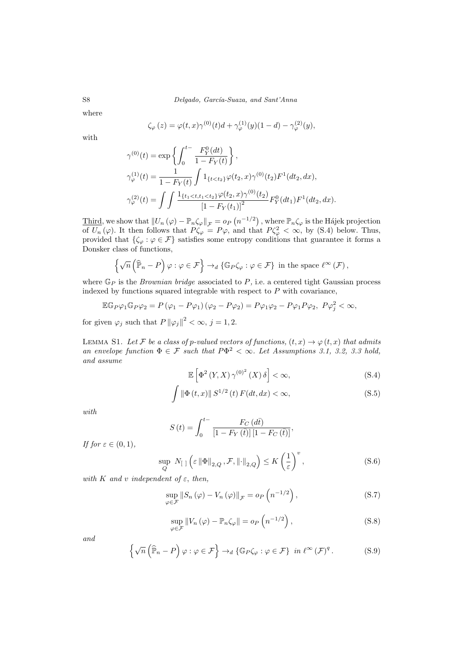where

$$
\zeta_{\varphi}(z) = \varphi(t, x)\gamma^{(0)}(t)d + \gamma_{\varphi}^{(1)}(y)(1 - d) - \gamma_{\varphi}^{(2)}(y),
$$

with

$$
\gamma^{(0)}(t) = \exp\left\{ \int_0^{t-} \frac{F_Y^0(dt)}{1 - F_Y(t)} \right\},
$$
  
\n
$$
\gamma_{\varphi}^{(1)}(t) = \frac{1}{1 - F_Y(t)} \int 1_{\{t < t_2\}} \varphi(t_2, x) \gamma^{(0)}(t_2) F^1(dt_2, dx),
$$
  
\n
$$
\gamma_{\varphi}^{(2)}(t) = \int \int \frac{1_{\{t_1 < t, t_1 < t_2\}} \varphi(t_2, x) \gamma^{(0)}(t_2)}{[1 - F_Y(t_1)]^2} F_Y^0(dt_1) F^1(dt_2, dx).
$$

Third, we show that  $||U_n(\varphi) - \mathbb{P}_n\zeta_{\varphi}||_{\mathcal{F}} = o_P(n^{-1/2})$ , where  $\mathbb{P}_n\zeta_{\varphi}$  is the Hájek projection of  $U_n(\varphi)$ . It then follows that  $P\zeta_\varphi = P\varphi$ , and that  $P\zeta_\varphi^2 < \infty$ , by (S.4) below. Thus, provided that  $\{\zeta_{\varphi} : \varphi \in \mathcal{F}\}\$  satisfies some entropy conditions that guarantee it forms a Donsker class of functions,

$$
\left\{\sqrt{n}\left(\widehat{\mathbb{P}}_n-P\right)\varphi:\varphi\in\mathcal{F}\right\}\to_d\{\mathbb{G}_P\zeta_{\varphi}:\varphi\in\mathcal{F}\}\,\,\text{in the space $\ell^{\infty}\left(\mathcal{F}\right)$},
$$

where  $\mathbb{G}_P$  is the *Brownian bridge* associated to  $P$ , i.e. a centered tight Gaussian process indexed by functions squared integrable with respect to  $P$  with covariance,

$$
\mathbb{E} \mathbb{G}_P \varphi_1 \mathbb{G}_P \varphi_2 = P(\varphi_1 - P\varphi_1)(\varphi_2 - P\varphi_2) = P\varphi_1 \varphi_2 - P\varphi_1 P\varphi_2, \ P\varphi_j^2 < \infty,
$$

for given  $\varphi_j$  such that  $P ||\varphi_j||^2 < \infty$ ,  $j = 1, 2$ .

LEMMA S1. Let F be a class of p-valued vectors of functions,  $(t, x) \rightarrow \varphi(t, x)$  that admits an envelope function  $\Phi \in \mathcal{F}$  such that  $P\Phi^2 < \infty$ . Let Assumptions 3.1, 3.2, 3.3 hold, and assume

$$
\mathbb{E}\left[\Phi^{2}\left(Y,X\right)\gamma^{(0)^{2}}\left(X\right)\delta\right]<\infty,\tag{S.4}
$$

$$
\int \|\Phi(t,x)\| S^{1/2}(t) F(dt,dx) < \infty,
$$
\n(S.5)

with

$$
S\left(t\right) = \int_0^{t-} \frac{F_C\left(d\bar{t}\right)}{\left[1 - F_Y\left(\bar{t}\right)\right]\left[1 - F_C\left(\bar{t}\right)\right]},
$$

If for  $\varepsilon \in (0,1)$ ,

$$
\sup_{Q} N_{\left[\right]} \left(\varepsilon \left\|\Phi\right\|_{2,Q}, \mathcal{F}, \left\|\cdot\right\|_{2,Q}\right) \le K \left(\frac{1}{\varepsilon}\right)^{v},\tag{S.6}
$$

with K and v independent of  $\varepsilon$ , then,

$$
\sup_{\varphi \in \mathcal{F}} \left\| S_n \left( \varphi \right) - V_n \left( \varphi \right) \right\|_{\mathcal{F}} = o_P \left( n^{-1/2} \right),\tag{S.7}
$$

$$
\sup_{\varphi \in \mathcal{F}} \left\| V_n \left( \varphi \right) - \mathbb{P}_n \zeta_{\varphi} \right\| = o_P \left( n^{-1/2} \right),\tag{S.8}
$$

and

$$
\left\{\sqrt{n}\left(\widehat{\mathbb{P}}_n - P\right)\varphi : \varphi \in \mathcal{F}\right\} \to_d \left\{\mathbb{G}_P\zeta_{\varphi} : \varphi \in \mathcal{F}\right\} \text{ in } \ell^{\infty}(\mathcal{F})^q. \tag{S.9}
$$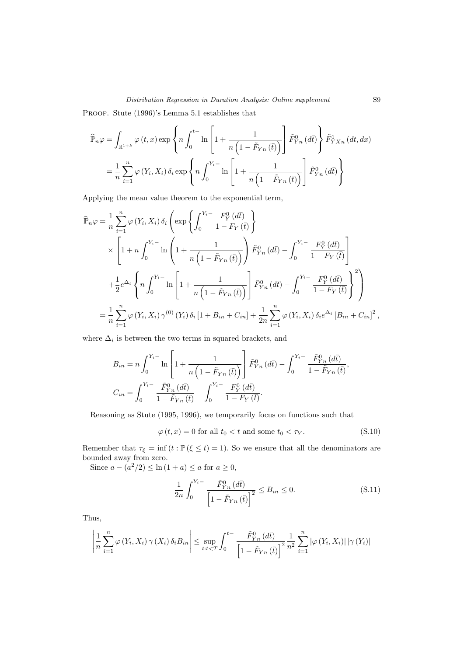Proof. Stute (1996)'s Lemma 5.1 establishes that

$$
\widehat{\mathbb{P}}_n \varphi = \int_{\mathbb{R}^{1+k}} \varphi(t, x) \exp\left\{ n \int_0^{t-} \ln \left[ 1 + \frac{1}{n \left( 1 - \tilde{F}_{Yn} \left( \bar{t} \right) \right)} \right] \tilde{F}_{Yn}^0 \left( d\bar{t} \right) \right\} \tilde{F}_{YXn}^1 \left( dt, dx \right)
$$
\n
$$
= \frac{1}{n} \sum_{i=1}^n \varphi(Y_i, X_i) \, \delta_i \exp\left\{ n \int_0^{Y_i -} \ln \left[ 1 + \frac{1}{n \left( 1 - \tilde{F}_{Yn} \left( \bar{t} \right) \right)} \right] \tilde{F}_{Yn}^0 \left( d\bar{t} \right) \right\}
$$

Applying the mean value theorem to the exponential term,

$$
\widehat{\mathbb{P}}_{n}\varphi = \frac{1}{n} \sum_{i=1}^{n} \varphi(Y_{i}, X_{i}) \delta_{i} \left( \exp \left\{ \int_{0}^{Y_{i}} \frac{F_{Y}^{0}(d\bar{t})}{1 - F_{Y}(\bar{t})} \right\} \right)
$$
\n
$$
\times \left[ 1 + n \int_{0}^{Y_{i}} \ln \left( 1 + \frac{1}{n \left( 1 - \tilde{F}_{Yn}(\bar{t}) \right)} \right) \tilde{F}_{Yn}^{0}(d\bar{t}) - \int_{0}^{Y_{i}} \frac{F_{Y}^{0}(d\bar{t})}{1 - F_{Y}(\bar{t})} \right]
$$
\n
$$
+ \frac{1}{2} e^{\Delta_{i}} \left\{ n \int_{0}^{Y_{i}} \ln \left[ 1 + \frac{1}{n \left( 1 - \tilde{F}_{Yn}(\bar{t}) \right)} \right] \tilde{F}_{Yn}^{0}(d\bar{t}) - \int_{0}^{Y_{i}} \frac{F_{Y}^{0}(d\bar{t})}{1 - F_{Y}(\bar{t})} \right\}^{2} \right\}
$$
\n
$$
= \frac{1}{n} \sum_{i=1}^{n} \varphi(Y_{i}, X_{i}) \gamma^{(0)}(Y_{i}) \delta_{i} [1 + B_{in} + C_{in}] + \frac{1}{2n} \sum_{i=1}^{n} \varphi(Y_{i}, X_{i}) \delta_{i} e^{\Delta_{i}} [B_{in} + C_{in}]^{2},
$$

where  $\Delta_i$  is between the two terms in squared brackets, and

$$
B_{in} = n \int_0^{Y_i -} \ln \left[ 1 + \frac{1}{n \left( 1 - \tilde{F}_{Yn}(\bar{t}) \right)} \right] \tilde{F}_{Yn}^0(d\bar{t}) - \int_0^{Y_i -} \frac{\tilde{F}_{Yn}^0(d\bar{t})}{1 - \tilde{F}_{Yn}(\bar{t})},
$$
  

$$
C_{in} = \int_0^{Y_i -} \frac{\tilde{F}_{Yn}^0(d\bar{t})}{1 - \tilde{F}_{Yn}(\bar{t})} - \int_0^{Y_i -} \frac{F_Y^0(d\bar{t})}{1 - F_Y(\bar{t})}.
$$

Reasoning as Stute (1995, 1996), we temporarily focus on functions such that

 $\varphi(t, x) = 0$  for all  $t_0 < t$  and some  $t_0 < \tau_Y$ . (S.10)

Remember that  $\tau_{\xi} = \inf (t : \mathbb{P}(\xi \le t) = 1)$ . So we ensure that all the denominators are bounded away from zero.

Since  $a - (a^2/2) \leq \ln(1 + a) \leq a$  for  $a \geq 0$ ,

$$
-\frac{1}{2n} \int_0^{Y_i -} \frac{\tilde{F}_{Y_n}^0(d\bar{t})}{\left[1 - \tilde{F}_{Y_n}(\bar{t})\right]^2} \le B_{in} \le 0.
$$
 (S.11)

Thus,

$$
\left| \frac{1}{n} \sum_{i=1}^{n} \varphi(Y_i, X_i) \gamma(X_i) \delta_i B_{in} \right| \leq \sup_{t:t < T} \int_0^{t-1} \frac{\tilde{F}_{Yn}^0(d\bar{t})}{\left[1 - \tilde{F}_{Yn}(\bar{t})\right]^2} \frac{1}{n^2} \sum_{i=1}^{n} |\varphi(Y_i, X_i)| |\gamma(Y_i)|
$$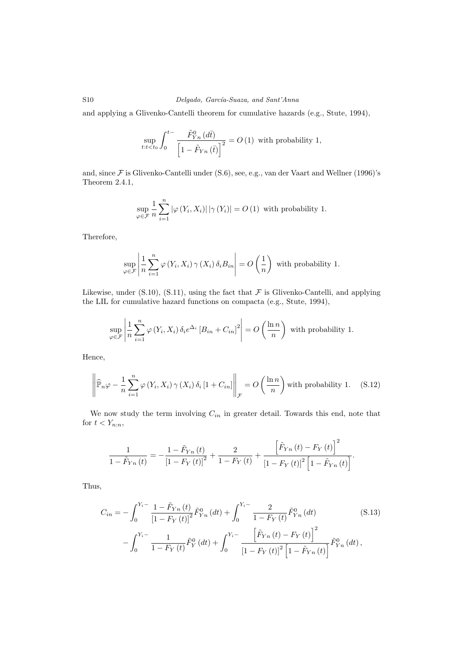and applying a Glivenko-Cantelli theorem for cumulative hazards (e.g., Stute, 1994),

$$
\sup_{t:t
$$

and, since F is Glivenko-Cantelli under (S.6), see, e.g., van der Vaart and Wellner (1996)'s Theorem 2.4.1,

$$
\sup_{\varphi \in \mathcal{F}} \frac{1}{n} \sum_{i=1}^{n} |\varphi(Y_i, X_i)| |\gamma(Y_i)| = O(1)
$$
 with probability 1.

Therefore,

$$
\sup_{\varphi \in \mathcal{F}} \left| \frac{1}{n} \sum_{i=1}^{n} \varphi(Y_i, X_i) \gamma(X_i) \, \delta_i B_{in} \right| = O\left(\frac{1}{n}\right)
$$
 with probability 1.

Likewise, under  $(S.10)$ ,  $(S.11)$ , using the fact that  $\mathcal F$  is Glivenko-Cantelli, and applying the LIL for cumulative hazard functions on compacta (e.g., Stute, 1994),

$$
\sup_{\varphi \in \mathcal{F}} \left| \frac{1}{n} \sum_{i=1}^{n} \varphi(Y_i, X_i) \, \delta_i e^{\Delta_i} \left[ B_{in} + C_{in} \right]^2 \right| = O\left( \frac{\ln n}{n} \right)
$$
 with probability 1.

Hence,

$$
\left\|\widehat{\mathbb{P}}_n\varphi - \frac{1}{n}\sum_{i=1}^n \varphi(Y_i, X_i) \gamma(X_i) \delta_i \left[1 + C_{in}\right]\right\|_{\mathcal{F}} = O\left(\frac{\ln n}{n}\right) \text{ with probability 1.} \quad (S.12)
$$

We now study the term involving  $C_{in}$  in greater detail. Towards this end, note that for  $t < Y_{n:n}$ ,

$$
\frac{1}{1 - \tilde{F}_{Yn}(t)} = -\frac{1 - \tilde{F}_{Yn}(t)}{\left[1 - F_{Y}(t)\right]^2} + \frac{2}{1 - F_{Y}(t)} + \frac{\left[\tilde{F}_{Yn}(t) - F_{Y}(t)\right]^2}{\left[1 - F_{Y}(t)\right]^2 \left[1 - \tilde{F}_{Yn}(t)\right]}.
$$

Thus,

$$
C_{in} = -\int_{0}^{Y_{i} -} \frac{1 - \tilde{F}_{Yn}(t)}{\left[1 - F_{Y}(t)\right]^{2}} \tilde{F}_{Yn}^{0}(dt) + \int_{0}^{Y_{i} -} \frac{2}{1 - F_{Y}(t)} \tilde{F}_{Yn}^{0}(dt)
$$
(S.13)  

$$
-\int_{0}^{Y_{i} -} \frac{1}{1 - F_{Y}(t)} \tilde{F}_{Y}^{0}(dt) + \int_{0}^{Y_{i} -} \frac{\left[\tilde{F}_{Yn}(t) - F_{Y}(t)\right]^{2}}{\left[1 - F_{Y}(t)\right]^{2}\left[1 - \tilde{F}_{Yn}(t)\right]} \tilde{F}_{Yn}^{0}(dt),
$$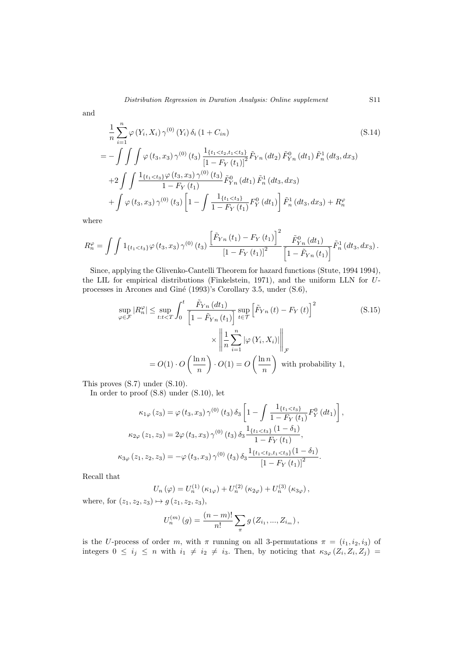and

$$
\frac{1}{n} \sum_{i=1}^{n} \varphi(Y_i, X_i) \gamma^{(0)}(Y_i) \delta_i (1 + C_{in})
$$
\n
$$
= - \int \int \int \varphi(t_3, x_3) \gamma^{(0)}(t_3) \frac{1_{\{t_1 < t_2, t_1 < t_3\}}}{\left[1 - F_Y(t_1)\right]^2} \tilde{F}_{Yn}(dt_2) \tilde{F}_{Yn}^{0}(dt_1) \tilde{F}_{n}^{1}(dt_3, dx_3)
$$
\n
$$
+ 2 \int \int \frac{1_{\{t_1 < t_3\}} \varphi(t_3, x_3) \gamma^{(0)}(t_3)}{1 - F_Y(t_1)} \tilde{F}_{Yn}^{0}(dt_1) \tilde{F}_{n}^{1}(dt_3, dx_3)
$$
\n
$$
+ \int \varphi(t_3, x_3) \gamma^{(0)}(t_3) \left[1 - \int \frac{1_{\{t_1 < t_3\}}}{1 - F_Y(t_1)} F_Y^{0}(dt_1)\right] \tilde{F}_{n}^{1}(dt_3, dx_3) + R_{n}^{\varphi}
$$
\n(S.14)

where

$$
R_n^{\varphi} = \int \int 1_{\{t_1 < t_3\}} \varphi(t_3, x_3) \, \gamma^{(0)}(t_3) \, \frac{\left[ \tilde{F}_{Yn}(t_1) - F_Y(t_1) \right]^2}{\left[ 1 - F_Y(t_1) \right]^2} \, \frac{\tilde{F}_{Yn}^0(d t_1)}{\left[ 1 - \tilde{F}_{Yn}(t_1) \right]} \tilde{F}_{n}^1(d t_3, d x_3) \, .
$$

Since, applying the Glivenko-Cantelli Theorem for hazard functions (Stute, 1994 1994), the LIL for empirical distributions (Finkelstein, 1971), and the uniform LLN for Uprocesses in Arcones and Giné (1993)'s Corollary 3.5, under (S.6),

$$
\sup_{\varphi \in \mathcal{F}} |R_n^{\varphi}| \le \sup_{t:t < T} \int_0^t \frac{\tilde{F}_{Yn} \left(dt_1\right)}{\left[1 - \tilde{F}_{Yn} \left(t_1\right)\right]} \sup_{t \in \mathcal{T}} \left[\tilde{F}_{Yn} \left(t\right) - F_Y \left(t\right)\right]^2 \qquad (S.15)
$$
\n
$$
\times \left\| \frac{1}{n} \sum_{i=1}^n |\varphi \left(Y_i, X_i\right)| \right\|_{\mathcal{F}}
$$
\n
$$
= O(1) \cdot O\left(\frac{\ln n}{n}\right) \cdot O(1) = O\left(\frac{\ln n}{n}\right) \text{ with probability 1,}
$$

This proves (S.7) under (S.10).

In order to proof (S.8) under (S.10), let

$$
\kappa_{1\varphi}(z_3) = \varphi(t_3, x_3) \gamma^{(0)}(t_3) \delta_3 \left[ 1 - \int \frac{1_{\{t_1 < t_3\}}}{1 - F_Y(t_1)} F_Y^0(dt_1) \right],
$$
\n
$$
\kappa_{2\varphi}(z_1, z_3) = 2\varphi(t_3, x_3) \gamma^{(0)}(t_3) \delta_3 \frac{1_{\{t_1 < t_3\}}(1 - \delta_1)}{1 - F_Y(t_1)},
$$
\n
$$
\kappa_{3\varphi}(z_1, z_2, z_3) = -\varphi(t_3, x_3) \gamma^{(0)}(t_3) \delta_3 \frac{1_{\{t_1 < t_2, t_1 < t_3\}}(1 - \delta_1)}{\left[1 - F_Y(t_1)\right]^2}.
$$

Recall that

$$
U_n(\varphi) = U_n^{(1)}(\kappa_{1\varphi}) + U_n^{(2)}(\kappa_{2\varphi}) + U_n^{(3)}(\kappa_{3\varphi}),
$$

where, for  $(z_1, z_2, z_3) \mapsto g(z_1, z_2, z_3)$ ,

$$
U_n^{(m)}(g) = \frac{(n-m)!}{n!} \sum_{\pi} g(Z_{i_1}, ..., Z_{i_m}),
$$

is the U-process of order m, with  $\pi$  running on all 3-permutations  $\pi = (i_1, i_2, i_3)$  of integers  $0 \le i_j \le n$  with  $i_1 \ne i_2 \ne i_3$ . Then, by noticing that  $\kappa_{3\varphi}(Z_i, Z_i, Z_j) =$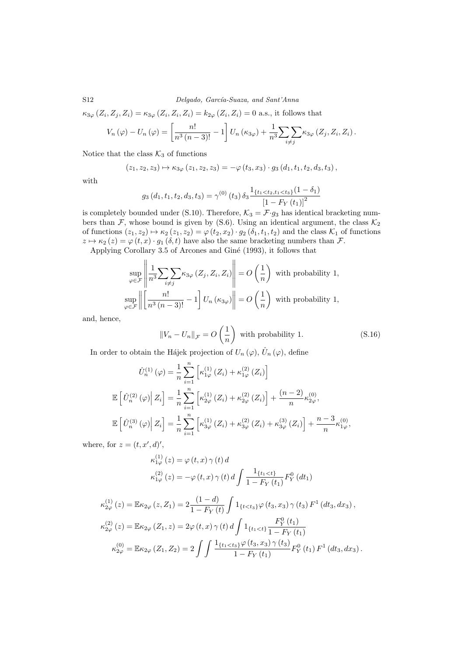S12 Delgado, García-Suaza, and Sant'Anna

$$
\kappa_{3\varphi}(Z_i, Z_j, Z_i) = \kappa_{3\varphi}(Z_i, Z_i, Z_i) = k_{2\varphi}(Z_i, Z_i) = 0
$$
 a.s., it follows that

$$
V_n(\varphi) - U_n(\varphi) = \left[\frac{n!}{n^3 (n-3)!} - 1\right] U_n(\kappa_{3\varphi}) + \frac{1}{n^3} \sum_{i \neq j} \sum_{\kappa_{3\varphi}} \left(Z_j, Z_i, Z_i\right).
$$

Notice that the class  $K_3$  of functions

$$
(z_1, z_2, z_3) \mapsto \kappa_{3\varphi} (z_1, z_2, z_3) = -\varphi (t_3, x_3) \cdot g_3 (d_1, t_1, t_2, d_3, t_3),
$$

with

$$
g_3(d_1, t_1, t_2, d_3, t_3) = \gamma^{(0)}(t_3) \, \delta_3 \frac{\mathbb{1}_{\{t_1 < t_2, t_1 < t_3\}}(1 - \delta_1)}{\left[1 - F_Y(t_1)\right]^2}
$$

is completely bounded under (S.10). Therefore,  $\mathcal{K}_3 = \mathcal{F} \cdot g_3$  has identical bracketing numbers than  $\mathcal{F}$ , whose bound is given by (S.6). Using an identical argument, the class  $\mathcal{K}_2$ of functions  $(z_1, z_2) \mapsto \kappa_2 (z_1, z_2) = \varphi (t_2, x_2) \cdot g_2 (\delta_1, t_1, t_2)$  and the class  $\mathcal{K}_1$  of functions  $z \mapsto \kappa_2(z) = \varphi(t, x) \cdot g_1(\delta, t)$  have also the same bracketing numbers than  $\mathcal{F}$ .

Applying Corollary 3.5 of Arcones and Giné (1993), it follows that

$$
\sup_{\varphi \in \mathcal{F}} \left\| \frac{1}{n^3} \sum_{i \neq j} \sum_{k \leq j} \kappa_{3\varphi} (Z_j, Z_i, Z_i) \right\| = O\left(\frac{1}{n}\right) \text{ with probability 1,}
$$
  
\n
$$
\sup_{\varphi \in \mathcal{F}} \left\| \left[ \frac{n!}{n^3 (n-3)!} - 1 \right] U_n (\kappa_{3\varphi}) \right\| = O\left(\frac{1}{n}\right) \text{ with probability 1,}
$$

and, hence,

$$
||V_n - U_n||_{\mathcal{F}} = O\left(\frac{1}{n}\right)
$$
 with probability 1. (S.16)

In order to obtain the Hájek projection of  $U_n(\varphi)$ ,  $\hat{U}_n(\varphi)$ , define

$$
\hat{U}_{n}^{(1)}(\varphi) = \frac{1}{n} \sum_{i=1}^{n} \left[ \kappa_{1\varphi}^{(1)}(Z_{i}) + \kappa_{1\varphi}^{(2)}(Z_{i}) \right]
$$
  

$$
\mathbb{E}\left[\hat{U}_{n}^{(2)}(\varphi) \Big| Z_{i}\right] = \frac{1}{n} \sum_{i=1}^{n} \left[ \kappa_{2\varphi}^{(1)}(Z_{i}) + \kappa_{2\varphi}^{(2)}(Z_{i}) \right] + \frac{(n-2)}{n} \kappa_{2\varphi}^{(0)},
$$
  

$$
\mathbb{E}\left[\hat{U}_{n}^{(3)}(\varphi) \Big| Z_{i}\right] = \frac{1}{n} \sum_{i=1}^{n} \left[ \kappa_{3\varphi}^{(1)}(Z_{i}) + \kappa_{3\varphi}^{(2)}(Z_{i}) + \kappa_{3\varphi}^{(3)}(Z_{i}) \right] + \frac{n-3}{n} \kappa_{1\varphi}^{(0)},
$$

where, for  $z = (t, x', d)$ ,

$$
\kappa_{1\varphi}^{(1)}(z) = \varphi(t, x) \gamma(t) d
$$
  

$$
\kappa_{1\varphi}^{(2)}(z) = -\varphi(t, x) \gamma(t) d \int \frac{1_{\{t_1 < t\}}}{1 - F_Y(t_1)} F_Y^0(dt_1)
$$

$$
\kappa_{2\varphi}^{(1)}(z) = \mathbb{E}\kappa_{2\varphi}(z, Z_1) = 2 \frac{(1-d)}{1 - F_Y(t)} \int 1_{\{t < t_3\}} \varphi(t_3, x_3) \gamma(t_3) F^1(dx_3, dx_3),
$$
  
\n
$$
\kappa_{2\varphi}^{(2)}(z) = \mathbb{E}\kappa_{2\varphi}(Z_1, z) = 2\varphi(t, x) \gamma(t) d \int 1_{\{t_1 < t\}} \frac{F_Y^0(t_1)}{1 - F_Y(t_1)}
$$
  
\n
$$
\kappa_{2\varphi}^{(0)} = \mathbb{E}\kappa_{2\varphi}(Z_1, Z_2) = 2 \int \int \frac{1_{\{t_1 < t_3\}} \varphi(t_3, x_3) \gamma(t_3)}{1 - F_Y(t_1)} F_Y^0(t_1) F^1(dx_3, dx_3).
$$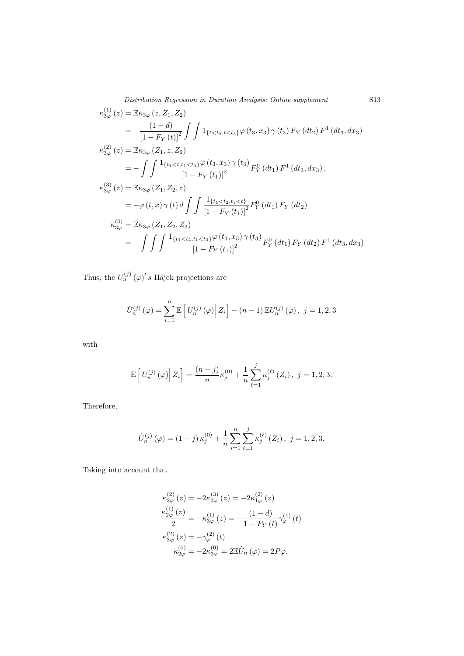Distribution Regression in Duration Analysis: Online supplement S13

$$
\begin{split}\n\kappa_{3\varphi}^{(1)}(z) &= \mathbb{E}\kappa_{3\varphi}(z, Z_1, Z_2) \\
&= -\frac{(1-d)}{\left[1 - F_Y(t)\right]^2} \int \int 1_{\{t < t_2, t < t_3\}} \varphi(t_3, x_3) \,\gamma(t_3) \, F_Y \left(dt_2\right) \, F^1 \left(dt_3, dx_3\right) \\
\kappa_{3\varphi}^{(2)}(z) &= \mathbb{E}\kappa_{3\varphi}\left(Z_1, z, Z_2\right) \\
&= -\int \int \frac{1_{\{t_1 < t_1 < t_3\}} \varphi(t_3, x_3) \,\gamma(t_3)}{\left[1 - F_Y(t_1)\right]^2} F_Y^0 \left(dt_1\right) \, F^1 \left(dt_3, dx_3\right), \\
\kappa_{3\varphi}^{(3)}(z) &= \mathbb{E}\kappa_{3\varphi}\left(Z_1, Z_2, z\right) \\
&= -\varphi\left(t, x\right) \,\gamma\left(t\right) \, d \int \int \frac{1_{\{t_1 < t_2, t_1 < t\}}}{\left[1 - F_Y(t_1)\right]^2} F_Y^0 \left(dt_1\right) F_Y \left(dt_2\right) \\
\kappa_{3\varphi}^{(0)} &= \mathbb{E}\kappa_{3\varphi}\left(Z_1, Z_2, Z_3\right) \\
&= -\int \int \int \frac{1_{\{t_1 < t_2, t_1 < t_3\}} \varphi\left(t_3, x_3\right) \,\gamma\left(t_3\right)}{\left[1 - F_Y(t_1)\right]^2} F_Y^0 \left(dt_1\right) F_Y \left(dt_2\right) F^1 \left(dt_3, dx_3\right)\n\end{split}
$$

Thus, the  $U_n^{(j)}\left(\varphi\right)'s$  Hájek projections are

$$
\hat{U}_n^{(j)}\left(\varphi\right) = \sum_{i=1}^n \mathbb{E}\left[U_n^{(j)}\left(\varphi\right) \middle| Z_i\right] - (n-1)\mathbb{E}U_n^{(j)}\left(\varphi\right), \ j = 1, 2, 3
$$

with

$$
\mathbb{E}\left[U_n^{(j)}\left(\varphi\right) \middle| Z_i\right] = \frac{(n-j)}{n} \kappa_j^{(0)} + \frac{1}{n} \sum_{\ell=1}^j \kappa_j^{(\ell)}\left(Z_i\right), \ j = 1, 2, 3.
$$

Therefore,

$$
\hat{U}_n^{(j)}\left(\varphi\right) = \left(1-j\right)\kappa_j^{(0)} + \frac{1}{n}\sum_{i=1}^n\sum_{\ell=1}^j\kappa_j^{(\ell)}\left(Z_i\right), \ j = 1, 2, 3.
$$

Taking into account that

$$
\kappa_{2\varphi}^{(2)}(z) = -2\kappa_{3\varphi}^{(3)}(z) = -2\kappa_{1\varphi}^{(2)}(z) \n\frac{\kappa_{2\varphi}^{(1)}(z)}{2} = -\kappa_{3\varphi}^{(1)}(z) = -\frac{(1-d)}{1-F_Y(t)}\gamma_{\varphi}^{(1)}(t) \n\kappa_{3\varphi}^{(2)}(z) = -\gamma_{\varphi}^{(2)}(t) \n\kappa_{2\varphi}^{(0)} = -2\kappa_{3\varphi}^{(0)} = 2\mathbb{E}\hat{U}_n(\varphi) = 2P\varphi,
$$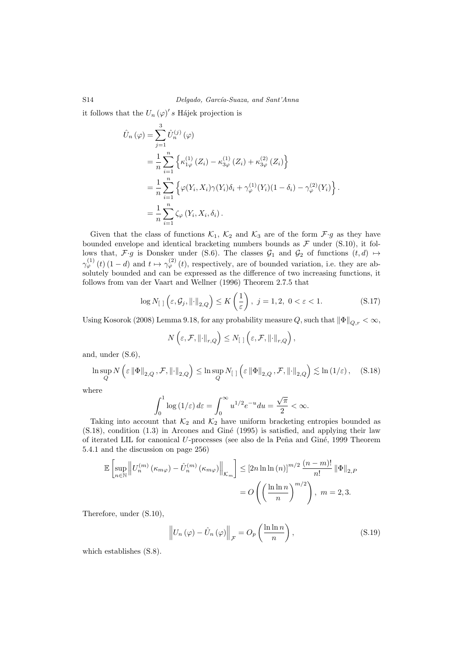it follows that the  $U_n(\varphi)'s$  Hájek projection is

$$
\hat{U}_n(\varphi) = \sum_{j=1}^3 \hat{U}_n^{(j)}(\varphi) \n= \frac{1}{n} \sum_{i=1}^n \left\{ \kappa_{1\varphi}^{(1)}(Z_i) - \kappa_{3\varphi}^{(1)}(Z_i) + \kappa_{3\varphi}^{(2)}(Z_i) \right\} \n= \frac{1}{n} \sum_{i=1}^n \left\{ \varphi(Y_i, X_i) \gamma(Y_i) \delta_i + \gamma_{\varphi}^{(1)}(Y_i) (1 - \delta_i) - \gamma_{\varphi}^{(2)}(Y_i) \right\} \n= \frac{1}{n} \sum_{i=1}^n \zeta_{\varphi}(Y_i, X_i, \delta_i).
$$

Given that the class of functions  $\mathcal{K}_1$ ,  $\mathcal{K}_2$  and  $\mathcal{K}_3$  are of the form  $\mathcal{F} \cdot g$  as they have bounded envelope and identical bracketing numbers bounds as  $\mathcal F$  under (S.10), it follows that,  $\mathcal{F} \cdot g$  is Donsker under (S.6). The classes  $\mathcal{G}_1$  and  $\mathcal{G}_2$  of functions  $(t, d) \mapsto$  $\gamma_{\varphi}^{(1)}(t)(1-d)$  and  $t \mapsto \gamma_{\varphi}^{(2)}(t)$ , respectively, are of bounded variation, i.e. they are absolutely bounded and can be expressed as the difference of two increasing functions, it follows from van der Vaart and Wellner (1996) Theorem 2.7.5 that

$$
\log N_{[ ]} \left( \varepsilon, \mathcal{G}_j, \left\| \cdot \right\|_{2, Q} \right) \le K \left( \frac{1}{\varepsilon} \right), j = 1, 2, 0 < \varepsilon < 1. \tag{S.17}
$$

Using Kosorok (2008) Lemma 9.18, for any probability measure Q, such that  $\|\Phi\|_{Q,r} < \infty$ ,

$$
N\left(\varepsilon,\mathcal{F},\left\|\cdot\right\|_{r,Q}\right)\leq N_{\left[\right]}\left(\varepsilon,\mathcal{F},\left\|\cdot\right\|_{r,Q}\right),
$$

and, under (S.6),

$$
\ln \sup_{Q} N\left(\varepsilon \left\|\Phi\right\|_{2,Q}, \mathcal{F}, \left\|\cdot\right\|_{2,Q}\right) \le \ln \sup_{Q} N_{\left[\cdot\right]} \left(\varepsilon \left\|\Phi\right\|_{2,Q}, \mathcal{F}, \left\|\cdot\right\|_{2,Q}\right) \lesssim \ln\left(1/\varepsilon\right), \quad (S.18)
$$

where

$$
\int_0^1 \log(1/\varepsilon) \, d\varepsilon = \int_0^\infty u^{1/2} e^{-u} \, du = \frac{\sqrt{\pi}}{2} < \infty.
$$

Taking into account that  $\mathcal{K}_2$  and  $\mathcal{K}_2$  have uniform bracketing entropies bounded as  $(S.18)$ , condition  $(1.3)$  in Arcones and Giné  $(1995)$  is satisfied, and applying their law of iterated LIL for canonical U-processes (see also de la Peña and Giné, 1999 Theorem 5.4.1 and the discussion on page 256)

$$
\mathbb{E}\left[\sup_{n\in\mathbb{N}}\left\|U_n^{(m)}\left(\kappa_{m\varphi}\right)-\hat{U}_n^{(m)}\left(\kappa_{m\varphi}\right)\right\|_{\mathcal{K}_m}\right] \leq \left[2n\ln\ln\left(n\right)\right]^{m/2}\frac{(n-m)!}{n!}\left\|\Phi\right\|_{2,P}
$$

$$
=O\left(\left(\frac{\ln\ln n}{n}\right)^{m/2}\right),\ m=2,3.
$$

Therefore, under (S.10),

$$
\left\| U_n \left( \varphi \right) - \hat{U}_n \left( \varphi \right) \right\|_{\mathcal{F}} = O_p \left( \frac{\ln \ln n}{n} \right),\tag{S.19}
$$

which establishes (S.8).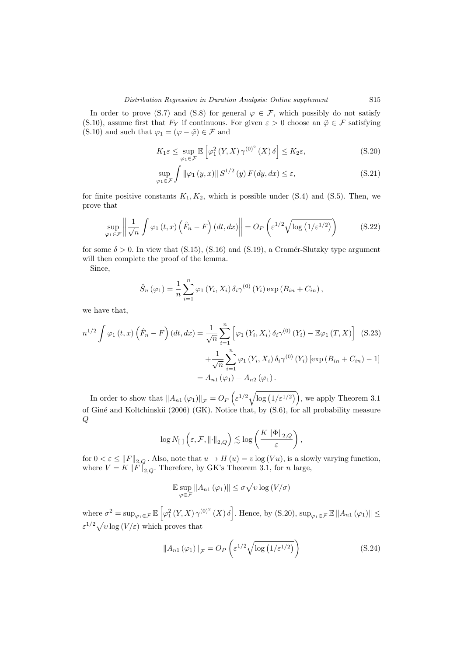In order to prove (S.7) and (S.8) for general  $\varphi \in \mathcal{F}$ , which possibly do not satisfy (S.10), assume first that  $F_Y$  if continuous. For given  $\varepsilon > 0$  choose an  $\tilde{\varphi} \in \mathcal{F}$  satisfying (S.10) and such that  $\varphi_1 = (\varphi - \tilde{\varphi}) \in \mathcal{F}$  and

$$
K_1 \varepsilon \le \sup_{\varphi_1 \in \mathcal{F}} \mathbb{E} \left[ \varphi_1^2 \left( Y, X \right) \gamma^{(0)^2} \left( X \right) \delta \right] \le K_2 \varepsilon, \tag{S.20}
$$

$$
\sup_{\varphi_1 \in \mathcal{F}} \int \|\varphi_1(y, x)\| S^{1/2}(y) F(dy, dx) \le \varepsilon,
$$
\n(S.21)

for finite positive constants  $K_1, K_2$ , which is possible under (S.4) and (S.5). Then, we prove that

$$
\sup_{\varphi_1 \in \mathcal{F}} \left\| \frac{1}{\sqrt{n}} \int \varphi_1(t, x) \left( \hat{F}_n - F \right) (dt, dx) \right\| = O_P \left( \varepsilon^{1/2} \sqrt{\log \left( 1/\varepsilon^{1/2} \right)} \right) \tag{S.22}
$$

for some  $\delta > 0$ . In view that (S.15), (S.16) and (S.19), a Cramér-Slutzky type argument will then complete the proof of the lemma.

Since,

$$
\hat{S}_n (\varphi_1) = \frac{1}{n} \sum_{i=1}^n \varphi_1 (Y_i, X_i) \, \delta_i \gamma^{(0)} (Y_i) \exp (B_{in} + C_{in}),
$$

we have that,

$$
n^{1/2} \int \varphi_1(t, x) \left( \hat{F}_n - F \right) (dt, dx) = \frac{1}{\sqrt{n}} \sum_{i=1}^n \left[ \varphi_1 \left( Y_i, X_i \right) \delta_i \gamma^{(0)} \left( Y_i \right) - \mathbb{E} \varphi_1 \left( T, X \right) \right] \tag{S.23}
$$

$$
+ \frac{1}{\sqrt{n}} \sum_{i=1}^n \varphi_1 \left( Y_i, X_i \right) \delta_i \gamma^{(0)} \left( Y_i \right) \left[ \exp \left( B_{in} + C_{in} \right) - 1 \right]
$$

$$
= A_{n1} \left( \varphi_1 \right) + A_{n2} \left( \varphi_1 \right).
$$

In order to show that  $||A_{n1}(\varphi_1)||_{\mathcal{F}} = O_P\left(\varepsilon^{1/2}\sqrt{\log(1/\varepsilon^{1/2})}\right)$ , we apply Theorem 3.1 of Giné and Koltchinskii (2006) (GK). Notice that, by (S.6), for all probability measure  $Q$ 

$$
\log N_{\left[\begin{array}{c|c}1\end{array}\right]}\left(\varepsilon,\mathcal{F},\left\|\cdot\right\|_{2,Q}\right)\lesssim\log\left(\frac{K\left\|\Phi\right\|_{2,Q}}{\varepsilon}\right),
$$

for  $0 < \varepsilon \leq ||F||_{2,Q}$ . Also, note that  $u \mapsto H(u) = v \log(Vu)$ , is a slowly varying function, where  $V = K ||F||_{2,Q}$ . Therefore, by GK's Theorem 3.1, for n large,

$$
\mathbb{E}\sup_{\varphi\in\mathcal{F}}\|A_{n1}\left(\varphi_1\right)\|\leq\sigma\sqrt{\upsilon\log\left(\frac{V}{\sigma}\right)}
$$

where  $\sigma^2 = \sup_{\varphi_1 \in \mathcal{F}} \mathbb{E} \left[ \varphi_1^2(Y, X) \gamma^{(0)^2}(X) \delta \right]$ . Hence, by (S.20),  $\sup_{\varphi_1 \in \mathcal{F}} \mathbb{E} ||A_{n_1}(\varphi_1)|| \le$  $\varepsilon^{1/2}\sqrt{v\log(V/\varepsilon)}$  which proves that

$$
||A_{n1}(\varphi_1)||_{\mathcal{F}} = O_P\left(\varepsilon^{1/2}\sqrt{\log\left(1/\varepsilon^{1/2}\right)}\right)
$$
(S.24)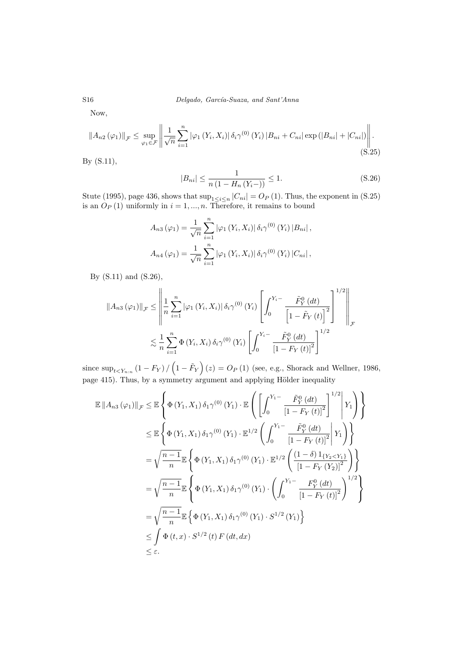Now,

$$
||A_{n2}(\varphi_1)||_{\mathcal{F}} \leq \sup_{\varphi_1 \in \mathcal{F}} \left\| \frac{1}{\sqrt{n}} \sum_{i=1}^n |\varphi_1(Y_i, X_i)| \, \delta_i \gamma^{(0)}(Y_i) |B_{ni} + C_{ni}| \exp(|B_{ni}| + |C_{ni}|) \right\|.
$$
\n
$$
(S.25)
$$

By (S.11),

$$
|B_{ni}| \le \frac{1}{n\left(1 - H_n\left(Y_i - \right)\right)} \le 1.
$$
\n(S.26)

Stute (1995), page 436, shows that  $\sup_{1 \leq i \leq n} |C_{ni}| = O_P(1)$ . Thus, the exponent in (S.25) is an  $O_P(1)$  uniformly in  $i = 1, ..., n$ . Therefore, it remains to bound

$$
A_{n3} (\varphi_1) = \frac{1}{\sqrt{n}} \sum_{i=1}^n |\varphi_1 (Y_i, X_i)| \, \delta_i \gamma^{(0)} (Y_i) |B_{ni}|,
$$
  

$$
A_{n4} (\varphi_1) = \frac{1}{\sqrt{n}} \sum_{i=1}^n |\varphi_1 (Y_i, X_i)| \, \delta_i \gamma^{(0)} (Y_i) |C_{ni}|,
$$

By (S.11) and (S.26),

$$
||A_{n3}(\varphi_1)||_{\mathcal{F}} \leq \left\| \frac{1}{n} \sum_{i=1}^n |\varphi_1(Y_i, X_i)| \, \delta_i \gamma^{(0)}(Y_i) \left[ \int_0^{Y_i - \frac{\tilde{F}_Y^0(dt)}{\left[1 - \tilde{F}_Y(t)\right]^2}} \right]^{1/2} \right\|_{\mathcal{F}}
$$
  

$$
\lesssim \frac{1}{n} \sum_{i=1}^n \Phi(Y_i, X_i) \, \delta_i \gamma^{(0)}(Y_i) \left[ \int_0^{Y_i - \frac{\tilde{F}_Y^0(dt)}{\left[1 - F_Y(t)\right]^2}} \right]^{1/2}
$$

since  $\sup_{t \le Y_{n:n}} (1 - F_Y) / (1 - \tilde{F}_Y) (z) = O_P (1)$  (see, e.g., Shorack and Wellner, 1986, page 415). Thus, by a symmetry argument and applying Hölder inequality

$$
\mathbb{E} ||A_{n3}(\varphi_1)||_{\mathcal{F}} \leq \mathbb{E} \left\{ \Phi(Y_1, X_1) \, \delta_1 \gamma^{(0)}(Y_1) \cdot \mathbb{E} \left( \left[ \int_0^{Y_1 -} \frac{\tilde{F}_Y^0 (dt)}{\left[ 1 - F_Y(t) \right]^2} \right]^{1/2} \middle| Y_1 \right) \right\} \n\leq \mathbb{E} \left\{ \Phi(Y_1, X_1) \, \delta_1 \gamma^{(0)}(Y_1) \cdot \mathbb{E}^{1/2} \left( \int_0^{Y_1 -} \frac{\tilde{F}_Y^0 (dt)}{\left[ 1 - F_Y(t) \right]^2} \middle| Y_1 \right) \right\} \n= \sqrt{\frac{n-1}{n}} \mathbb{E} \left\{ \Phi(Y_1, X_1) \, \delta_1 \gamma^{(0)}(Y_1) \cdot \mathbb{E}^{1/2} \left( \frac{(1-\delta) \, 1_{\{Y_2 < Y_1\}}}{\left[ 1 - F_Y(Y_2) \right]^2} \right) \right\} \n= \sqrt{\frac{n-1}{n}} \mathbb{E} \left\{ \Phi(Y_1, X_1) \, \delta_1 \gamma^{(0)}(Y_1) \cdot \left( \int_0^{Y_1 -} \frac{F_Y^0 (dt)}{\left[ 1 - F_Y(t) \right]^2} \right)^{1/2} \right\} \n= \sqrt{\frac{n-1}{n}} \mathbb{E} \left\{ \Phi(Y_1, X_1) \, \delta_1 \gamma^{(0)}(Y_1) \cdot S^{1/2}(Y_1) \right\} \n\leq \int \Phi(t, x) \cdot S^{1/2}(t) F(dt, dx) \n\leq \varepsilon.
$$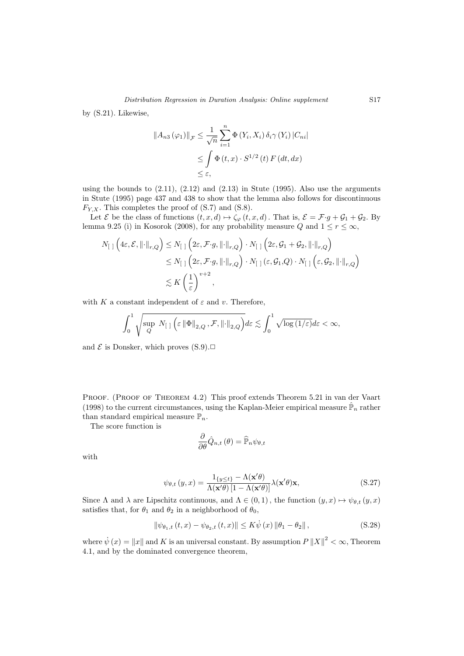by (S.21). Likewise,

$$
||A_{n3}(\varphi_1)||_{\mathcal{F}} \leq \frac{1}{\sqrt{n}} \sum_{i=1}^n \Phi(Y_i, X_i) \, \delta_i \gamma(Y_i) \, |C_{ni}|
$$
  

$$
\leq \int \Phi(t, x) \cdot S^{1/2}(t) \, F(dt, dx)
$$
  

$$
\leq \varepsilon,
$$

using the bounds to  $(2.11)$ ,  $(2.12)$  and  $(2.13)$  in Stute  $(1995)$ . Also use the arguments in Stute (1995) page 437 and 438 to show that the lemma also follows for discontinuous  $F_{Y,X}$ . This completes the proof of  $(S.7)$  and  $(S.8)$ .

Let  $\mathcal E$  be the class of functions  $(t, x, d) \mapsto \zeta_{\varphi}(t, x, d)$ . That is,  $\mathcal E = \mathcal F \cdot g + \mathcal G_1 + \mathcal G_2$ . By lemma 9.25 (i) in Kosorok (2008), for any probability measure Q and  $1 \le r \le \infty$ ,

$$
N_{\left[\right]}\left(4\varepsilon,\mathcal{E},\left\|\cdot\right\|_{r,Q}\right) \leq N_{\left[\right]}\left(2\varepsilon,\mathcal{F}\cdot g,\left\|\cdot\right\|_{r,Q}\right) \cdot N_{\left[\right]}\left(2\varepsilon,\mathcal{G}_1+\mathcal{G}_2,\left\|\cdot\right\|_{r,Q}\right)
$$
  

$$
\leq N_{\left[\right]}\left(2\varepsilon,\mathcal{F}\cdot g,\left\|\cdot\right\|_{r,Q}\right) \cdot N_{\left[\right]}\left(\varepsilon,\mathcal{G}_1,Q\right) \cdot N_{\left[\right]}\left(\varepsilon,\mathcal{G}_2,\left\|\cdot\right\|_{r,Q}\right)
$$
  

$$
\lesssim K\left(\frac{1}{\varepsilon}\right)^{v+2},
$$

with K a constant independent of  $\varepsilon$  and v. Therefore,

$$
\int_0^1 \sqrt{\sup_Q N_{\left[\begin{array}{c}1\end{array}\right]\left(\varepsilon \left\|\Phi\right\|_{2,Q},\mathcal{F},\left\|\cdot\right\|_{2,Q}\right)} d\varepsilon \lesssim \int_0^1 \sqrt{\log{(1/\varepsilon)}} d\varepsilon < \infty,
$$

and  $\mathcal E$  is Donsker, which proves  $(S.9)$ .

PROOF. (PROOF OF THEOREM 4.2) This proof extends Theorem 5.21 in van der Vaart (1998) to the current circumstances, using the Kaplan-Meier empirical measure  $\hat{\mathbb{P}}_n$  rather than standard empirical measure  $\mathbb{P}_n$ .

The score function is

$$
\frac{\partial}{\partial \theta} \hat{Q}_{n,t} \left( \theta \right) = \widehat{\mathbb{P}}_n \psi_{\theta,t}
$$

with

$$
\psi_{\theta,t}(y,x) = \frac{1_{\{y \le t\}} - \Lambda(\mathbf{x}'\theta)}{\Lambda(\mathbf{x}'\theta)[1 - \Lambda(\mathbf{x}'\theta)]}\lambda(\mathbf{x}'\theta)\mathbf{x},\tag{S.27}
$$

Since  $\Lambda$  and  $\lambda$  are Lipschitz continuous, and  $\Lambda \in (0,1)$ , the function  $(y, x) \mapsto \psi_{\theta,t} (y, x)$ satisfies that, for  $\theta_1$  and  $\theta_2$  in a neighborhood of  $\theta_0$ ,

$$
\|\psi_{\theta_{1},t}(t,x) - \psi_{\theta_{2},t}(t,x)\| \le K\dot{\psi}(x)\|\theta_{1} - \theta_{2}\|,
$$
\n(S.28)

where  $\dot{\psi}(x) = \|x\|$  and K is an universal constant. By assumption  $P||X||^2 < \infty$ , Theorem 4.1, and by the dominated convergence theorem,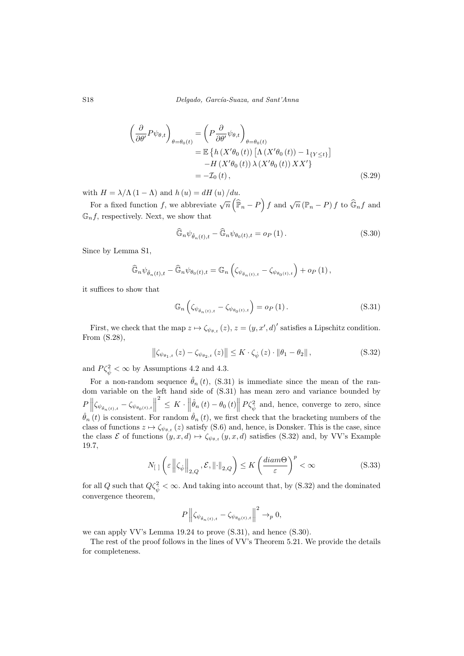$$
\left(\frac{\partial}{\partial \theta'} P \psi_{\theta, t}\right)_{\theta = \theta_0(t)} = \left(P \frac{\partial}{\partial \theta'} \psi_{\theta, t}\right)_{\theta = \theta_0(t)}
$$

$$
= \mathbb{E}\left\{h\left(X'\theta_0(t)\right)\left[\Lambda\left(X'\theta_0(t)\right) - 1_{\{Y \le t\}}\right]\right\}
$$

$$
-H\left(X'\theta_0(t)\right)\lambda\left(X'\theta_0(t)\right)XX'\}
$$

$$
= -\mathcal{I}_0(t), \tag{S.29}
$$

with  $H = \lambda / \Lambda (1 - \Lambda)$  and  $h (u) = dH (u) / du$ .

For a fixed function f, we abbreviate  $\sqrt{n}(\hat{\mathbb{P}}_n - P)$  f and  $\sqrt{n}(\mathbb{P}_n - P)$  f to  $\widehat{\mathbb{G}}_n f$  and  $\mathbb{G}_n f$ , respectively. Next, we show that

$$
\widehat{\mathbb{G}}_n \psi_{\widehat{\theta}_n(t),t} - \widehat{\mathbb{G}}_n \psi_{\theta_0(t),t} = o_P(1).
$$
\n(S.30)

Since by Lemma S1,

$$
\widehat{\mathbb{G}}_n \psi_{\hat{\theta}_n(t),t} - \widehat{\mathbb{G}}_n \psi_{\theta_0(t),t} = \mathbb{G}_n \left( \zeta_{\psi_{\hat{\theta}_n(t),t}} - \zeta_{\psi_{\theta_0(t),t}} \right) + o_P(1),
$$

it suffices to show that

$$
\mathbb{G}_n\left(\zeta_{\psi_{\hat{\theta}_n(t),t}} - \zeta_{\psi_{\theta_0(t),t}}\right) = o_P\left(1\right). \tag{S.31}
$$

First, we check that the map  $z \mapsto \zeta_{\psi_{\theta,t}} (z), z = (y, x', d)'$  satisfies a Lipschitz condition. From (S.28),

$$
\left\|\zeta_{\psi_{\theta_{1},t}}\left(z\right)-\zeta_{\psi_{\theta_{2},t}}\left(z\right)\right\| \leq K \cdot \zeta_{\dot{\psi}}\left(z\right) \cdot \left\|\theta_{1}-\theta_{2}\right\|,\tag{S.32}
$$

and  $P\zeta_{\dot{\psi}}^2 < \infty$  by Assumptions 4.2 and 4.3.

For a non-random sequence  $\hat{\theta}_n(t)$ , (S.31) is immediate since the mean of the random variable on the left hand side of (S.31) has mean zero and variance bounded by  $\frac{P}{\hat{\beta}} \left\| \zeta_{\psi_{\hat{\theta}_n(t),t}} - \zeta_{\psi_{\theta_0(t),t}} \right\|$  $\mathcal{L}^2 \leq K \cdot \left\|\hat{\theta}_n(t) - \theta_0(t)\right\| P \zeta_{\dot{\psi}}^2$  and, hence, converge to zero, since  $\hat{\theta}_n(t)$  is consistent. For random  $\hat{\theta}_n(t)$ , we first check that the bracketing numbers of the class of functions  $z \mapsto \zeta_{\psi_{\theta,t}} (z)$  satisfy (S.6) and, hence, is Donsker. This is the case, since the class  $\mathcal E$  of functions  $(y, x, d) \mapsto \zeta_{\psi_{\theta,t}} (y, x, d)$  satisfies (S.32) and, by VV's Example 19.7,

$$
N_{\left[\right]}\left(\varepsilon\left\|\zeta_{\dot{\psi}}\right\|_{2,Q},\mathcal{E},\left\|\cdot\right\|_{2,Q}\right)\leq K\left(\frac{diam\Theta}{\varepsilon}\right)^{p}<\infty
$$
\n(S.33)

for all Q such that  $Q\zeta_{\dot{\psi}}^2 < \infty$ . And taking into account that, by (S.32) and the dominated convergence theorem,

$$
P\left\|\zeta_{\psi_{\hat{\theta}_n(t),t}} - \zeta_{\psi_{\theta_0(t),t}}\right\|^2 \to_p 0,
$$

we can apply VV's Lemma 19.24 to prove (S.31), and hence (S.30).

The rest of the proof follows in the lines of VV's Theorem 5.21. We provide the details for completeness.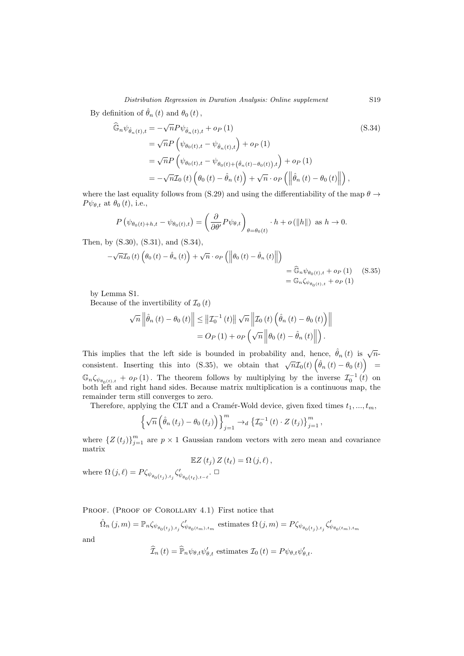Distribution Regression in Duration Analysis: Online supplement S19

By definition of  $\hat{\theta}_n(t)$  and  $\theta_0(t)$ ,

$$
\begin{split} \widehat{\mathbb{G}}_{n}\psi_{\hat{\theta}_{n}(t),t} &= -\sqrt{n}P\psi_{\hat{\theta}_{n}(t),t} + o_{P}(1) \tag{S.34} \\ &= \sqrt{n}P\left(\psi_{\theta_{0}(t),t} - \psi_{\hat{\theta}_{n}(t),t}\right) + o_{P}(1) \\ &= \sqrt{n}P\left(\psi_{\theta_{0}(t),t} - \psi_{\theta_{0}(t) + (\hat{\theta}_{n}(t) - \theta_{0}(t)),t}\right) + o_{P}(1) \\ &= -\sqrt{n}\mathcal{I}_{0}(t)\left(\theta_{0}\left(t\right) - \hat{\theta}_{n}\left(t\right)\right) + \sqrt{n} \cdot o_{P}\left(\left\|\hat{\theta}_{n}\left(t\right) - \theta_{0}\left(t\right)\right\|\right), \end{split}
$$

where the last equality follows from (S.29) and using the differentiability of the map  $\theta \rightarrow$  $P \psi_{\theta,t}$  at  $\theta_0(t)$ , i.e.,

$$
P(\psi_{\theta_0(t)+h,t} - \psi_{\theta_0(t),t}) = \left(\frac{\partial}{\partial \theta'} P \psi_{\theta,t}\right)_{\theta=\theta_0(t)} \cdot h + o(\|h\|) \text{ as } h \to 0.
$$

Then, by (S.30), (S.31), and (S.34),

$$
-\sqrt{n}\mathcal{I}_0(t)\left(\theta_0(t) - \hat{\theta}_n(t)\right) + \sqrt{n} \cdot o_P\left(\left\|\theta_0(t) - \hat{\theta}_n(t)\right\|\right)
$$
  
=  $\widehat{\mathbb{G}}_n \psi_{\theta_0(t),t} + o_P(1)$  (S.35)  
=  $\widehat{\mathbb{G}}_n \zeta_{\psi_{\theta_0(t),t}} + o_P(1)$ 

by Lemma S1.

Because of the invertibility of  $\mathcal{I}_0(t)$ 

$$
\sqrt{n}\left\|\hat{\theta}_{n}(t)-\theta_{0}(t)\right\| \leq \left\|\mathcal{I}_{0}^{-1}(t)\right\|\sqrt{n}\left\|\mathcal{I}_{0}(t)\left(\hat{\theta}_{n}(t)-\theta_{0}(t)\right)\right\|
$$

$$
=O_{P}(1)+o_{P}\left(\sqrt{n}\left\|\theta_{0}(t)-\hat{\theta}_{n}(t)\right\|\right).
$$

This implies that the left side is bounded in probability and, hence,  $\hat{\theta}_n(t)$  is  $\sqrt{n}$ consistent. Inserting this into (S.35), we obtain that  $\sqrt{n}\mathcal{I}_0(t)$   $(\hat{\theta}_n(t) - \theta_0(t))$  $\mathbb{G}_n \zeta_{\psi_{\theta_0(t),t}} + o_P(1)$ . The theorem follows by multiplying by the inverse  $\mathcal{I}_0^{-1}(t)$  on both left and right hand sides. Because matrix multiplication is a continuous map, the remainder term still converges to zero.

Therefore, applying the CLT and a Cramér-Wold device, given fixed times  $t_1, ..., t_m$ ,

$$
\left\{\sqrt{n}\left(\hat{\theta}_n\left(t_j\right)-\theta_0\left(t_j\right)\right)\right\}_{j=1}^m\to_d\left\{\mathcal{I}_0^{-1}\left(t\right)\cdot Z\left(t_j\right)\right\}_{j=1}^m,
$$

where  ${Z(t_j)}_{j=1}^m$  are  $p \times 1$  Gaussian random vectors with zero mean and covariance matrix

$$
\mathbb{E}Z(t_j) Z(t_\ell) = \Omega(j, \ell),
$$

where  $\Omega(j, \ell) = P \zeta_{\psi_{\theta_0(t_j), t_j}} \zeta'_{\psi_{\theta_0(t_\ell), t-\ell}}$ .  $\Box$ 

PROOF. (PROOF OF COROLLARY 4.1) First notice that

 $\hat{\Omega}_n(j,m) = \mathbb{P}_n \zeta_{\psi_{\theta_0(t_j),t_j}} \zeta'_{\psi_{\theta_0(t_m),t_m}} \text{ estimates } \Omega(j,m) = P \zeta_{\psi_{\theta_0(t_j),t_j}} \zeta'_{\psi_{\theta_0(t_m),t_m}}$ 

and

$$
\widehat{\mathcal{I}}_{n}(t) = \widehat{\mathbb{P}}_{n} \psi_{\theta,t} \psi_{\theta,t}' \text{ estimates } \mathcal{I}_{0}(t) = P \psi_{\theta,t} \psi_{\theta,t}'.
$$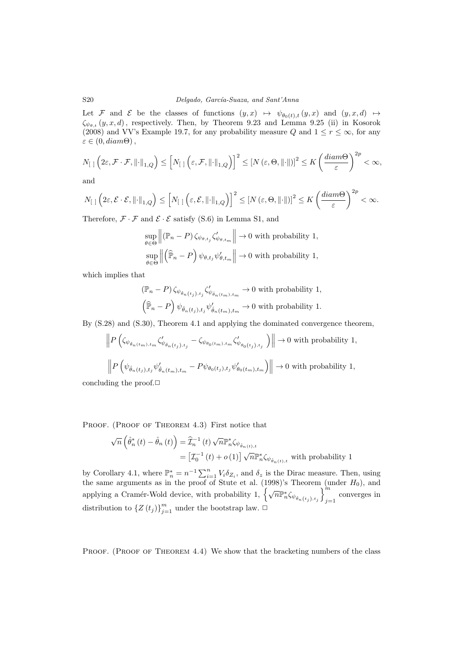Let F and E be the classes of functions  $(y, x) \mapsto \psi_{\theta_0(t), t} (y, x)$  and  $(y, x, d) \mapsto$  $\zeta_{\psi_{\theta,t}}(y,x,d)$ , respectively. Then, by Theorem 9.23 and Lemma 9.25 (ii) in Kosorok (2008) and VV's Example 19.7, for any probability measure Q and  $1 \leq r \leq \infty$ , for any  $\varepsilon \in (0, diam\Theta),$ 

$$
N_{\left[\right]}\left(2\varepsilon,\mathcal{F}\cdot\mathcal{F},\left\|\cdot\right\|_{1,Q}\right)\leq\left[N_{\left[\right]}\left(\varepsilon,\mathcal{F},\left\|\cdot\right\|_{1,Q}\right)\right]^{2}\leq\left[N\left(\varepsilon,\Theta,\left\|\cdot\right\|\right)\right]^{2}\leq K\left(\frac{diam\Theta}{\varepsilon}\right)^{2p}<\infty,
$$

and

$$
N_{\left[\right]}\left(2\varepsilon,\mathcal{E}\cdot\mathcal{E},\left\|\cdot\right\|_{1,Q}\right)\leq\left[N_{\left[\right]}\left(\varepsilon,\mathcal{E},\left\|\cdot\right\|_{1,Q}\right)\right]^{2}\leq\left[N\left(\varepsilon,\Theta,\left\|\cdot\right\|\right)\right]^{2}\leq K\left(\frac{diam\Theta}{\varepsilon}\right)^{2p}<\infty.
$$

Therefore,  $\mathcal{F} \cdot \mathcal{F}$  and  $\mathcal{E} \cdot \mathcal{E}$  satisfy (S.6) in Lemma S1, and

$$
\sup_{\theta \in \Theta} \left\| (\mathbb{P}_n - P) \zeta_{\psi_{\theta, t_j}} \zeta'_{\psi_{\theta, t_m}} \right\| \to 0 \text{ with probability 1,}
$$
  
\n
$$
\sup_{\theta \in \Theta} \left\| \left( \widehat{\mathbb{P}}_n - P \right) \psi_{\theta, t_j} \psi'_{\theta, t_m} \right\| \to 0 \text{ with probability 1,}
$$

which implies that

$$
\label{eq:R1} \begin{split} &\left(\mathbb{P}_n-P\right)\zeta_{\psi_{\hat{\theta}_n\left(t_j\right),t_j}}\zeta_{\psi_{\hat{\theta}_n\left(t_m\right),t_m}}'\to 0\text{ with probability 1,}\\ &\left(\widehat{\mathbb{P}}_n-P\right)\psi_{\hat{\theta}_n\left(t_j\right),t_j}\psi_{\hat{\theta}_n\left(t_m\right),t_m}'\to 0\text{ with probability 1.} \end{split}
$$

By (S.28) and (S.30), Theorem 4.1 and applying the dominated convergence theorem,

$$
\left\| P\left( \zeta_{\psi_{\hat{\theta}_n(t_m),t_m}} \zeta'_{\psi_{\hat{\theta}_n(t_j),t_j}} - \zeta_{\psi_{\theta_0(t_m),t_m}} \zeta'_{\psi_{\theta_0(t_j),t_j}} \right) \right\| \to 0 \text{ with probability 1,}
$$
  

$$
\left\| P\left( \psi_{\hat{\theta}_n(t_j),t_j} \psi'_{\hat{\theta}_n(t_m),t_m} - P\psi_{\theta_0(t_j),t_j} \psi'_{\theta_0(t_m),t_m} \right) \right\| \to 0 \text{ with probability 1,}
$$

concluding the proof. $\Box$ 

PROOF. (PROOF OF THEOREM 4.3) First notice that

$$
\sqrt{n}\left(\hat{\theta}_{n}^{*}\left(t\right)-\hat{\theta}_{n}\left(t\right)\right)=\widehat{\mathcal{I}}_{n}^{-1}\left(t\right)\sqrt{n}\mathbb{P}_{n}^{*}\zeta_{\psi_{\hat{\theta}_{n}\left(t\right),t}}=[\mathcal{I}_{0}^{-1}\left(t\right)+o\left(1\right)]\sqrt{n}\mathbb{P}_{n}^{*}\zeta_{\psi_{\hat{\theta}_{n}\left(t\right),t}}\text{ with probability 1}
$$

by Corollary 4.1, where  $\mathbb{P}_n^* = n^{-1} \sum_{i=1}^n V_i \delta_{Z_i}$ , and  $\delta_z$  is the Dirac measure. Then, using the same arguments as in the proof of Stute et al. (1998)'s Theorem (under  $H_0$ ), and applying a Cramér-Wold device, with probability  $1, \left\{\sqrt{n}\mathbb{P}_n^*\zeta_{\psi_{\hat{\theta}_n(t_j),t_j}}\right\}_{j=1}^m$ converges in  $j=1$ distribution to  $\{Z(t_j)\}_{j=1}^m$  under the bootstrap law.  $\Box$ 

PROOF. (PROOF OF THEOREM 4.4) We show that the bracketing numbers of the class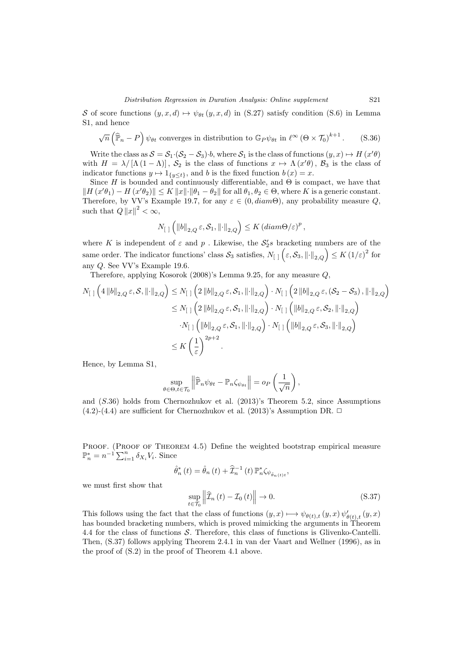S of score functions  $(y, x, d) \mapsto \psi_{\theta t} (y, x, d)$  in (S.27) satisfy condition (S.6) in Lemma S1, and hence

$$
\sqrt{n}\left(\widehat{\mathbb{P}}_n - P\right)\psi_{\theta t}
$$
 converges in distribution to  $\mathbb{G}_P\psi_{\theta t}$  in  $\ell^{\infty} \left(\Theta \times \mathcal{T}_0\right)^{k+1}$ . (S.36)

Write the class as  $S = S_1 \cdot (S_2 - S_3) \cdot b$ , where  $S_1$  is the class of functions  $(y, x) \mapsto H(x' \theta)$ with  $H = \lambda/[\Lambda(1-\Lambda)], S_2$  is the class of functions  $x \mapsto \Lambda(x'\theta), B_3$  is the class of indicator functions  $y \mapsto 1_{\{y \le t\}}$ , and b is the fixed function  $b(x) = x$ .

Since  $H$  is bounded and continuously differentiable, and  $\Theta$  is compact, we have that  $\|H(x'\theta_1) - H(x'\theta_2)\| \le K \|x\| \cdot \|\theta_1 - \theta_2\|$  for all  $\theta_1, \theta_2 \in \Theta$ , where K is a generic constant. Therefore, by VV's Example 19.7, for any  $\varepsilon \in (0, diam\Theta)$ , any probability measure Q, such that  $Q ||x||^2 < \infty$ ,

$$
N_{\left[\right]}\left(\left\|b\right\|_{2,Q}\varepsilon,\mathcal{S}_1,\left\|\cdot\right\|_{2,Q}\right)\leq K\left(diam\Theta/\varepsilon\right)^p,
$$

where K is independent of  $\varepsilon$  and  $p$ . Likewise, the  $S_2$ 's bracketing numbers are of the same order. The indicator functions' class  $S_3$  satisfies,  $N_{[ ]}\left(\varepsilon, S_3, \left\|\cdot\right\|_{2, Q}\right) \leq K \left(1/\varepsilon\right)^2$  for any Q. See VV's Example 19.6.

Therefore, applying Kosorok (2008)'s Lemma 9.25, for any measure Q,

$$
N_{[ \ ]} \left( 4 \left\| b \right\|_{2,Q} \varepsilon, \mathcal{S}, \left\| \cdot \right\|_{2,Q} \right) \leq N_{[ \ ]} \left( 2 \left\| b \right\|_{2,Q} \varepsilon, \mathcal{S}_1, \left\| \cdot \right\|_{2,Q} \right) \cdot N_{[ \ ]} \left( 2 \left\| b \right\|_{2,Q} \varepsilon, (\mathcal{S}_2 - \mathcal{S}_3), \left\| \cdot \right\|_{2,Q} \right) \right)
$$
  

$$
\leq N_{[ \ ]} \left( 2 \left\| b \right\|_{2,Q} \varepsilon, \mathcal{S}_1, \left\| \cdot \right\|_{2,Q} \right) \cdot N_{[ \ ]} \left( \left\| b \right\|_{2,Q} \varepsilon, \mathcal{S}_2, \left\| \cdot \right\|_{2,Q} \right)
$$
  

$$
\cdot N_{[ \ ]} \left( \left\| b \right\|_{2,Q} \varepsilon, \mathcal{S}_1, \left\| \cdot \right\|_{2,Q} \right) \cdot N_{[ \ ]} \left( \left\| b \right\|_{2,Q} \varepsilon, \mathcal{S}_3, \left\| \cdot \right\|_{2,Q} \right)
$$
  

$$
\leq K \left( \frac{1}{\varepsilon} \right)^{2p+2}.
$$

Hence, by Lemma S1,

$$
\sup_{\theta \in \Theta, t \in \mathcal{T}_0} \left\| \widehat{\mathbb{P}}_n \psi_{\theta t} - \mathbb{P}_n \zeta_{\psi_{\theta t}} \right\| = o_P\left(\frac{1}{\sqrt{n}}\right),
$$

and (S.36) holds from Chernozhukov et al. (2013)'s Theorem 5.2, since Assumptions (4.2)-(4.4) are sufficient for Chernozhukov et al. (2013)'s Assumption DR.  $\Box$ 

PROOF. (PROOF OF THEOREM 4.5) Define the weighted bootstrap empirical measure  $\mathbb{P}_n^* = n^{-1} \sum_{i=1}^n \delta_{X_i} V_i$ . Since

$$
\hat{\theta}_{n}^{*}\left(t\right) = \hat{\theta}_{n}\left(t\right) + \widehat{\mathcal{I}}_{n}^{-1}\left(t\right)\mathbb{P}_{n}^{*}\zeta_{\psi_{\hat{\theta}_{n}\left(t\right)t}},
$$

we must first show that

$$
\sup_{t \in \mathcal{T}_0} \left\| \widehat{\mathcal{I}}_n \left( t \right) - \mathcal{I}_0 \left( t \right) \right\| \to 0. \tag{S.37}
$$

This follows using the fact that the class of functions  $(y, x) \mapsto \psi_{\theta(t),t} (y, x) \psi'_{\theta(t),t} (y, x)$ has bounded bracketing numbers, which is proved mimicking the arguments in Theorem 4.4 for the class of functions S. Therefore, this class of functions is Glivenko-Cantelli. Then, (S.37) follows applying Theorem 2.4.1 in van der Vaart and Wellner (1996), as in the proof of (S.2) in the proof of Theorem 4.1 above.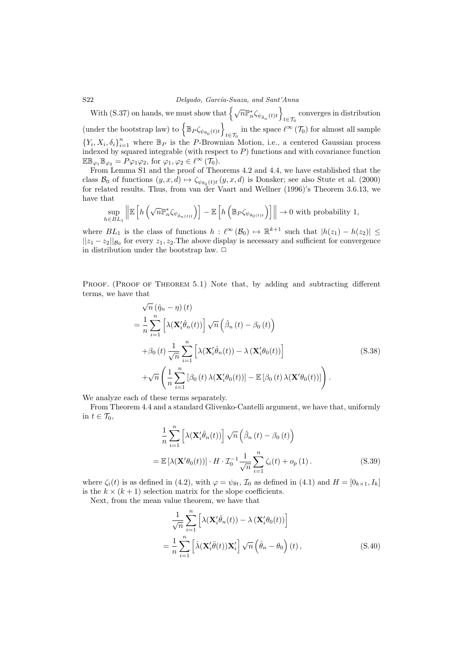S22 Delgado, García-Suaza, and Sant'Anna

With (S.37) on hands, we must show that  $\left\{\sqrt{n}\mathbb{P}_n^*\zeta_{\psi_{\hat{\theta}_n}(t)t}\right\}$ converges in distribution  $t \in \mathcal{T}_0$ (under the bootstrap law) to  $\left\{\mathbb{B}_P\zeta_{\psi_{\theta_0}(t)t}\right\}$ in the space  $\ell^{\infty}(\mathcal{T}_0)$  for almost all sample  ${Y_i, X_i, \delta_i}_{i=1}^n$  where  $\mathbb{B}_P$  is the P-Brownian Motion, i.e., a centered Gaussian process indexed by squared integrable (with respect to  $P$ ) functions and with covariance function  $\mathbb{EB}_{\varphi_1} \mathbb{B}_{\varphi_2} = P \varphi_1 \varphi_2$ , for  $\varphi_1, \varphi_2 \in \ell^{\infty}(\mathcal{T}_0)$ .

From Lemma S1 and the proof of Theorems 4.2 and 4.4, we have established that the class  $\mathcal{B}_0$  of functions  $(y, x, d) \mapsto \zeta_{\psi_{\theta_0}(t)t} (y, x, d)$  is Donsker; see also Stute et al. (2000) for related results. Thus, from van der Vaart and Wellner (1996)'s Theorem 3.6.13, we have that

$$
\sup_{h\in BL_1}\left\|\mathbb{E}\left[h\left(\sqrt{n}\mathbb{P}^*_n\zeta_{\psi_{\hat{\theta}_n(t)t}}\right)\right]-\mathbb{E}\left[h\left(\mathbb{B}_P\zeta_{\psi_{\theta_0(t)t}}\right)\right]\right\|\rightarrow 0\text{ with probability 1,}
$$

where  $BL_1$  is the class of functions  $h: \ell^{\infty}(\mathcal{B}_0) \mapsto \mathbb{R}^{k+1}$  such that  $|h(z_1) - h(z_2)| \le$  $||z_1 - z_2||_{\mathcal{B}_0}$  for every  $z_1, z_2$ . The above display is necessary and sufficient for convergence in distribution under the bootstrap law.  $\Box$ 

PROOF. (PROOF OF THEOREM 5.1) Note that, by adding and subtracting different terms, we have that

$$
\sqrt{n} (\hat{\eta}_n - \eta) (t)
$$
\n
$$
= \frac{1}{n} \sum_{i=1}^n \left[ \lambda(\mathbf{X}_i' \hat{\theta}_n(t)) \right] \sqrt{n} \left( \hat{\beta}_n (t) - \beta_0 (t) \right)
$$
\n
$$
+ \beta_0 (t) \frac{1}{\sqrt{n}} \sum_{i=1}^n \left[ \lambda(\mathbf{X}_i' \hat{\theta}_n(t)) - \lambda(\mathbf{X}_i' \theta_0(t)) \right]
$$
\n
$$
+ \sqrt{n} \left( \frac{1}{n} \sum_{i=1}^n \left[ \beta_0 (t) \lambda(\mathbf{X}_i' \theta_0(t)) \right] - \mathbb{E} \left[ \beta_0 (t) \lambda(\mathbf{X}' \theta_0(t)) \right] \right).
$$
\n(S.38)

We analyze each of these terms separately.

From Theorem 4.4 and a standard Glivenko-Cantelli argument, we have that, uniformly in  $t \in \mathcal{T}_0$ ,

$$
\frac{1}{n} \sum_{i=1}^{n} \left[ \lambda(\mathbf{X}'_i \hat{\theta}_n(t)) \right] \sqrt{n} \left( \hat{\beta}_n(t) - \beta_0(t) \right)
$$

$$
= \mathbb{E} \left[ \lambda(\mathbf{X}' \theta_0(t)) \right] \cdot H \cdot \mathcal{I}_0^{-1} \frac{1}{\sqrt{n}} \sum_{i=1}^{n} \zeta_i(t) + o_p(1).
$$
(S.39)

where  $\zeta_i(t)$  is as defined in (4.2), with  $\varphi = \psi_{\theta t}$ ,  $\mathcal{I}_0$  as defined in (4.1) and  $H = [0_{k \times 1}, I_k]$ is the  $k \times (k+1)$  selection matrix for the slope coefficients.

Next, from the mean value theorem, we have that

$$
\frac{1}{\sqrt{n}} \sum_{i=1}^{n} \left[ \lambda(\mathbf{X}_{i}^{\prime} \hat{\theta}_{n}(t)) - \lambda(\mathbf{X}_{i}^{\prime} \theta_{0}(t)) \right]
$$
  
= 
$$
\frac{1}{n} \sum_{i=1}^{n} \left[ \lambda(\mathbf{X}_{i}^{\prime} \bar{\theta}(t)) \mathbf{X}_{i}^{\prime} \right] \sqrt{n} \left( \hat{\theta}_{n} - \theta_{0} \right) (t),
$$
 (S.40)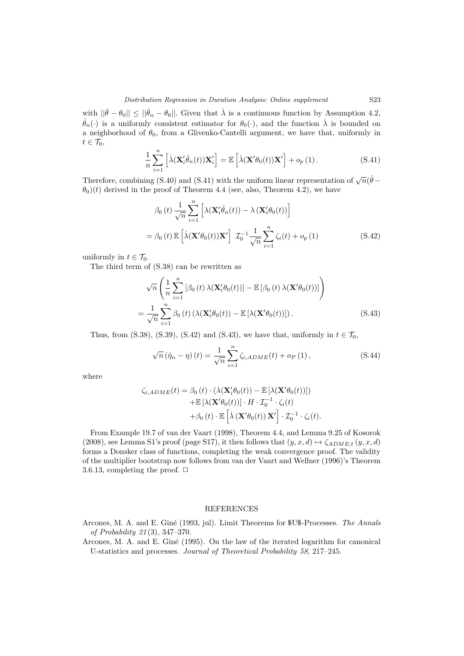with  $||\bar{\theta} - \theta_0|| \le ||\hat{\theta}_n - \theta_0||$ . Given that  $\dot{\lambda}$  is a continuous function by Assumption 4.2,  $\hat{\theta}_n(\cdot)$  is a uniformly consistent estimator for  $\theta_0(\cdot)$ , and the function  $\lambda$  is bounded on a neighborhood of  $\theta_0$ , from a Glivenko-Cantelli argument, we have that, uniformly in  $t\in\mathcal{T}_0,$ 

$$
\frac{1}{n}\sum_{i=1}^{n} \left[ \dot{\lambda}(\mathbf{X}_{i}^{\prime}\hat{\theta}_{n}(t))\mathbf{X}_{i}^{\prime} \right] = \mathbb{E}\left[ \dot{\lambda}(\mathbf{X}^{\prime}\theta_{0}(t))\mathbf{X}^{\prime} \right] + o_{p}(1).
$$
\n(S.41)

Therefore, combining (S.40) and (S.41) with the uniform linear representation of  $\sqrt{n}(\hat{\theta} - \hat{\theta})$  $\theta_0(t)$  derived in the proof of Theorem 4.4 (see, also, Theorem 4.2), we have

$$
\beta_0(t) \frac{1}{\sqrt{n}} \sum_{i=1}^n \left[ \lambda(\mathbf{X}_i' \hat{\theta}_n(t)) - \lambda(\mathbf{X}_i' \theta_0(t)) \right]
$$
  
=  $\beta_0(t) \mathbb{E} \left[ \lambda(\mathbf{X}' \theta_0(t)) \mathbf{X}' \right] \mathcal{I}_0^{-1} \frac{1}{\sqrt{n}} \sum_{i=1}^n \zeta_i(t) + o_p(1)$  (S.42)

uniformly in  $t \in \mathcal{T}_0$ .

The third term of (S.38) can be rewritten as

$$
\sqrt{n}\left(\frac{1}{n}\sum_{i=1}^{n}[\beta_{0}(t)\lambda(\mathbf{X}_{i}'\theta_{0}(t))] - \mathbb{E}\left[\beta_{0}(t)\lambda(\mathbf{X}'\theta_{0}(t))\right]\right)
$$

$$
=\frac{1}{\sqrt{n}}\sum_{i=1}^{n}\beta_{0}(t)\left(\lambda(\mathbf{X}_{i}'\theta_{0}(t)) - \mathbb{E}\left[\lambda(\mathbf{X}'\theta_{0}(t))\right]\right).
$$
(S.43)

Thus, from (S.38), (S.39), (S.42) and (S.43), we have that, uniformly in  $t \in \mathcal{T}_0$ ,

$$
\sqrt{n} \left( \hat{\eta}_n - \eta \right) (t) = \frac{1}{\sqrt{n}} \sum_{i=1}^n \zeta_{i,ADME}(t) + o_P(1), \qquad (S.44)
$$

where

$$
\zeta_{i,ADME}(t) = \beta_0(t) \cdot (\lambda(\mathbf{X}'_i \theta_0(t)) - \mathbb{E}[\lambda(\mathbf{X}' \theta_0(t))]) \n+ \mathbb{E}[\lambda(\mathbf{X}' \theta_0(t))] \cdot H \cdot \mathcal{I}_0^{-1} \cdot \zeta_i(t) \n+ \beta_0(t) \cdot \mathbb{E}[\lambda(\mathbf{X}' \theta_0(t)) \mathbf{X}'] \cdot \mathcal{I}_0^{-1} \cdot \zeta_i(t).
$$

From Example 19.7 of van der Vaart (1998), Theorem 4.4, and Lemma 9.25 of Kosorok (2008), see Lemma S1's proof (page S17), it then follows that  $(y, x, d) \mapsto \zeta_{ADME:t} (y, x, d)$ forms a Donsker class of functions, completing the weak convergence proof. The validity of the multiplier bootstrap now follows from van der Vaart and Wellner (1996)'s Theorem 3.6.13, completing the proof.  $\Box$ 

## REFERENCES

Arcones, M. A. and E. Giné (1993, jul). Limit Theorems for \$U\$-Processes. The Annals of Probability 21 (3), 347–370.

Arcones, M. A. and E. Gin´e (1995). On the law of the iterated logarithm for canonical U-statistics and processes. Journal of Theoretical Probability 58, 217–245.